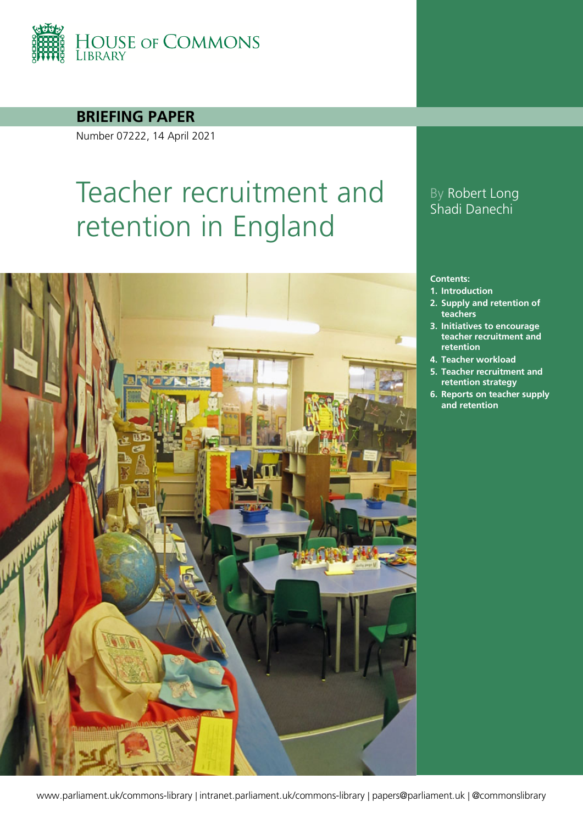

**BRIEFING PAPER**

Number 07222, 14 April 2021

# Teacher recruitment and retention in England



### By Robert Long Shadi Danechi

#### **Contents:**

- **1. [Introduction](#page-4-0)**
- **2. [Supply and retention of](#page-7-0)  [teachers](#page-7-0)**
- **3. [Initiatives to encourage](#page-16-0)  [teacher recruitment and](#page-16-0)  [retention](#page-16-0)**
- **4. [Teacher workload](#page-21-0)**
- **5. [Teacher recruitment and](#page-24-0)  [retention strategy](#page-24-0)**
- **6. [Reports on teacher supply](#page-33-0)  [and retention](#page-33-0)**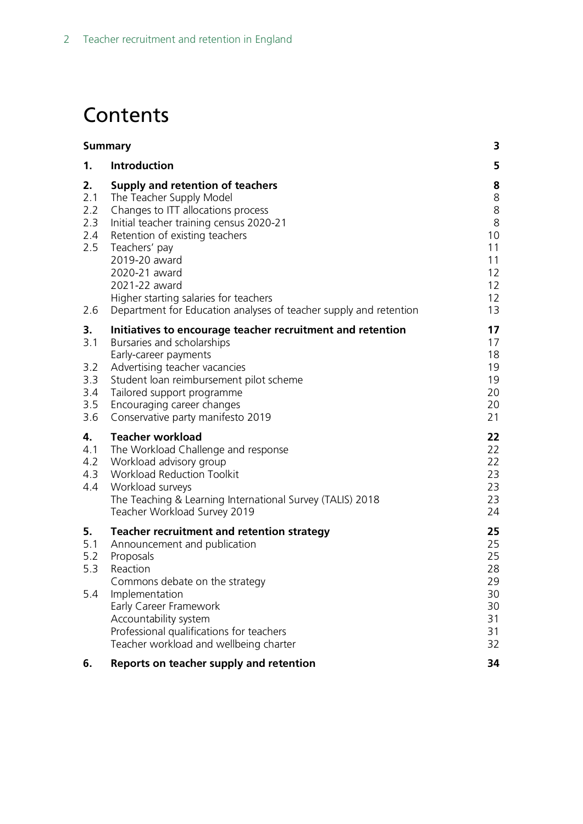## **Contents**

|                                              | <b>Summary</b>                                                                                                                                                                                                                                                                                                                                                    | 3                                                          |
|----------------------------------------------|-------------------------------------------------------------------------------------------------------------------------------------------------------------------------------------------------------------------------------------------------------------------------------------------------------------------------------------------------------------------|------------------------------------------------------------|
| 1.                                           | <b>Introduction</b>                                                                                                                                                                                                                                                                                                                                               | 5                                                          |
| 2.<br>2.1<br>2.2<br>2.3<br>2.4<br>2.5<br>2.6 | Supply and retention of teachers<br>The Teacher Supply Model<br>Changes to ITT allocations process<br>Initial teacher training census 2020-21<br>Retention of existing teachers<br>Teachers' pay<br>2019-20 award<br>2020-21 award<br>2021-22 award<br>Higher starting salaries for teachers<br>Department for Education analyses of teacher supply and retention | 8<br>8<br>8<br>8<br>10<br>11<br>11<br>12<br>12<br>12<br>13 |
| 3.<br>3.1<br>3.2<br>3.3<br>3.4<br>3.5<br>3.6 | Initiatives to encourage teacher recruitment and retention<br>Bursaries and scholarships<br>Early-career payments<br>Advertising teacher vacancies<br>Student loan reimbursement pilot scheme<br>Tailored support programme<br>Encouraging career changes<br>Conservative party manifesto 2019                                                                    | 17<br>17<br>18<br>19<br>19<br>20<br>20<br>21               |
| 4.<br>4.1<br>4.2<br>4.3<br>4.4               | <b>Teacher workload</b><br>The Workload Challenge and response<br>Workload advisory group<br><b>Workload Reduction Toolkit</b><br>Workload surveys<br>The Teaching & Learning International Survey (TALIS) 2018<br>Teacher Workload Survey 2019                                                                                                                   | 22<br>22<br>22<br>23<br>23<br>23<br>24                     |
| 5.<br>5.1<br>5.2<br>5.3<br>5.4               | Teacher recruitment and retention strategy<br>Announcement and publication<br>Proposals<br>Reaction<br>Commons debate on the strategy<br>Implementation<br>Early Career Framework<br>Accountability system<br>Professional qualifications for teachers<br>Teacher workload and wellbeing charter                                                                  | 25<br>25<br>25<br>28<br>29<br>30<br>30<br>31<br>31<br>32   |
| 6.                                           | Reports on teacher supply and retention                                                                                                                                                                                                                                                                                                                           | 34                                                         |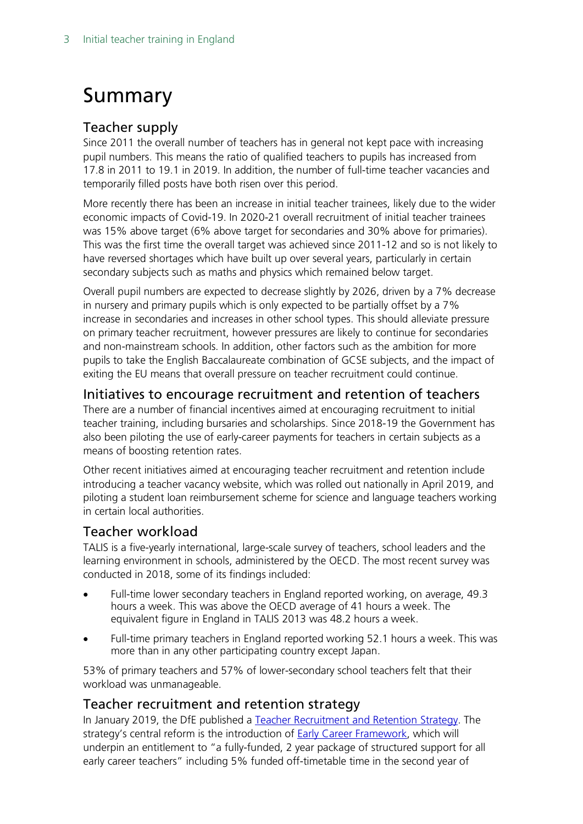## <span id="page-2-0"></span>Summary

### Teacher supply

Since 2011 the overall number of teachers has in general not kept pace with increasing pupil numbers. This means the ratio of qualified teachers to pupils has increased from 17.8 in 2011 to 19.1 in 2019. In addition, the number of full-time teacher vacancies and temporarily filled posts have both risen over this period.

More recently there has been an increase in initial teacher trainees, likely due to the wider economic impacts of Covid-19. In 2020-21 overall recruitment of initial teacher trainees was 15% above target (6% above target for secondaries and 30% above for primaries). This was the first time the overall target was achieved since 2011-12 and so is not likely to have reversed shortages which have built up over several years, particularly in certain secondary subjects such as maths and physics which remained below target.

Overall pupil numbers are expected to decrease slightly by 2026, driven by a 7% decrease in nursery and primary pupils which is only expected to be partially offset by a 7% increase in secondaries and increases in other school types. This should alleviate pressure on primary teacher recruitment, however pressures are likely to continue for secondaries and non-mainstream schools. In addition, other factors such as the ambition for more pupils to take the English Baccalaureate combination of GCSE subjects, and the impact of exiting the EU means that overall pressure on teacher recruitment could continue.

#### Initiatives to encourage recruitment and retention of teachers

There are a number of financial incentives aimed at encouraging recruitment to initial teacher training, including bursaries and scholarships. Since 2018-19 the Government has also been piloting the use of early-career payments for teachers in certain subjects as a means of boosting retention rates.

Other recent initiatives aimed at encouraging teacher recruitment and retention include introducing a teacher vacancy website, which was rolled out nationally in April 2019, and piloting a student loan reimbursement scheme for science and language teachers working in certain local authorities.

#### Teacher workload

TALIS is a five-yearly international, large-scale survey of teachers, school leaders and the learning environment in schools, administered by the OECD. The most recent survey was conducted in 2018, some of its findings included:

- Full-time lower secondary teachers in England reported working, on average, 49.3 hours a week. This was above the OECD average of 41 hours a week. The equivalent figure in England in TALIS 2013 was 48.2 hours a week.
- Full-time primary teachers in England reported working 52.1 hours a week. This was more than in any other participating country except Japan.

53% of primary teachers and 57% of lower-secondary school teachers felt that their workload was unmanageable.

#### Teacher recruitment and retention strategy

In January 2019, the DfE published a [Teacher Recruitment and Retention Strategy.](https://www.gov.uk/government/publications/teacher-recruitment-and-retention-strategy) The strategy's central reform is the introduction of [Early Career Framework,](https://www.gov.uk/government/publications/supporting-early-career-teachers) which will underpin an entitlement to "a fully-funded, 2 year package of structured support for all early career teachers" including 5% funded off-timetable time in the second year of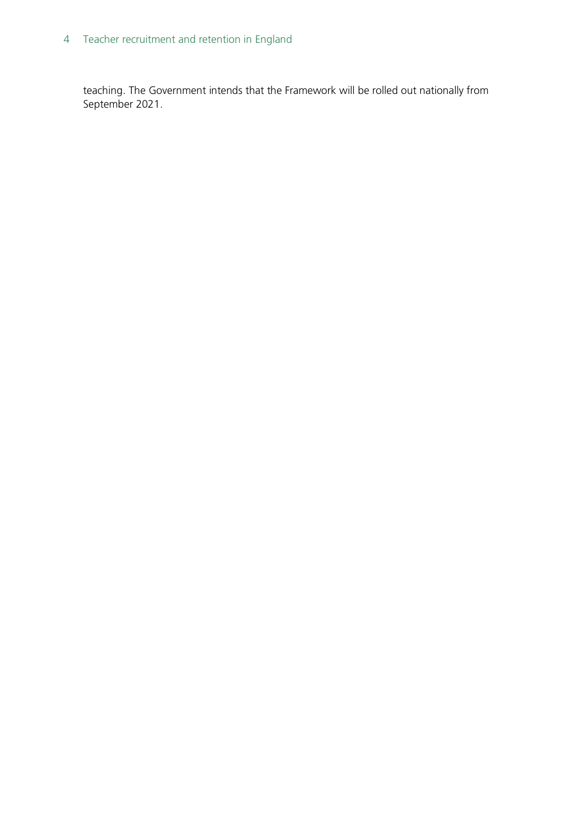### 4 Teacher recruitment and retention in England

teaching. The Government intends that the Framework will be rolled out nationally from September 2021.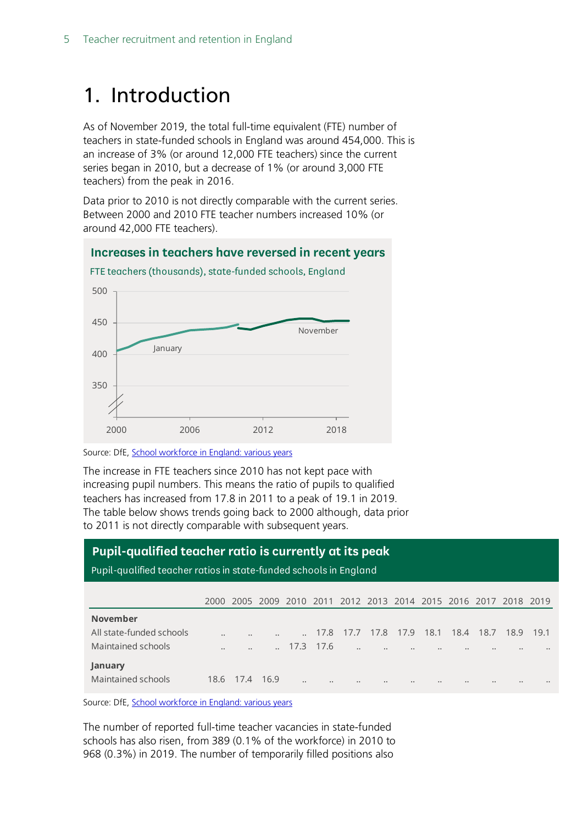## <span id="page-4-0"></span>1. Introduction

As of November 2019, the total full-time equivalent (FTE) number of teachers in state-funded schools in England was around 454,000. This is an increase of 3% (or around 12,000 FTE teachers) since the current series began in 2010, but a decrease of 1% (or around 3,000 FTE teachers) from the peak in 2016.

Data prior to 2010 is not directly comparable with the current series. Between 2000 and 2010 FTE teacher numbers increased 10% (or around 42,000 FTE teachers).



Source: DfE[, School workforce in England: various years](https://www.gov.uk/government/collections/statistics-school-workforce)

The increase in FTE teachers since 2010 has not kept pace with increasing pupil numbers. This means the ratio of pupils to qualified teachers has increased from 17.8 in 2011 to a peak of 19.1 in 2019. The table below shows trends going back to 2000 although, data prior to 2011 is not directly comparable with subsequent years.

#### **Pupil-qualified teacher ratio is currently at its peak**

Pupil-qualified teacher ratios in state-funded schools in England

|                          | 2000    |                      |           |                      |           | 2005 2009 2010 2011 2012 2013 2014 2015 2016 2017 2018 2019 |           |           |                  |                  |      |                  |                  |
|--------------------------|---------|----------------------|-----------|----------------------|-----------|-------------------------------------------------------------|-----------|-----------|------------------|------------------|------|------------------|------------------|
| <b>November</b>          |         |                      |           |                      |           |                                                             |           |           |                  |                  |      |                  |                  |
| All state-funded schools |         |                      | $\ddotsc$ |                      | 17.8      | 17.7                                                        |           | 17.8 17.9 | 18.1             | 18.4             | 18.7 | 18.9             | 19.1             |
| Maintained schools       | $\cdot$ | $\ddot{\phantom{a}}$ |           |                      | 17.3 17.6 | $\ddot{\phantom{a}}$                                        | $\bullet$ | $\bullet$ | $\bullet$        | $\bullet$        |      | $\bullet$        | $\bullet\bullet$ |
| January                  |         |                      |           |                      |           |                                                             |           |           |                  |                  |      |                  |                  |
| Maintained schools       | 18.6    | 1/4                  | 16.9      | $\ddot{\phantom{a}}$ |           | $\cdots$                                                    | $\cdots$  | $\bullet$ | $\bullet\bullet$ | $\bullet\bullet$ |      | $\bullet\bullet$ | $\bullet\bullet$ |

Source: DfE[, School workforce in England: various years](https://www.gov.uk/government/collections/statistics-school-workforce)

The number of reported full-time teacher vacancies in state-funded schools has also risen, from 389 (0.1% of the workforce) in 2010 to 968 (0.3%) in 2019. The number of temporarily filled positions also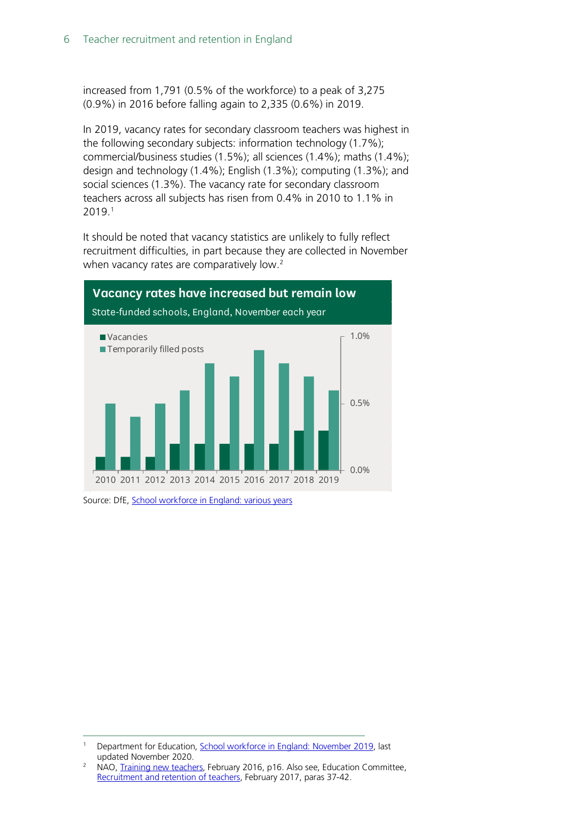increased from 1,791 (0.5% of the workforce) to a peak of 3,275 (0.9%) in 2016 before falling again to 2,335 (0.6%) in 2019.

In 2019, vacancy rates for secondary classroom teachers was highest in the following secondary subjects: information technology (1.7%); commercial/business studies (1.5%); all sciences (1.4%); maths (1.4%); design and technology (1.4%); English (1.3%); computing (1.3%); and social sciences (1.3%). The vacancy rate for secondary classroom teachers across all subjects has risen from 0.4% in 2010 to 1.1% in 2019. [1](#page-5-0)

It should be noted that vacancy statistics are unlikely to fully reflect recruitment difficulties, in part because they are collected in November when vacancy rates are comparatively low. $2$ 



Source: DfE[, School workforce in England: various years](https://www.gov.uk/government/collections/statistics-school-workforce)

<span id="page-5-0"></span>Department for Education, [School workforce in England: November 2019,](https://www.gov.uk/government/statistics/school-workforce-in-england-november-2019) last updated November 2020.

<span id="page-5-1"></span><sup>&</sup>lt;sup>2</sup> NAO, [Training new teachers,](https://www.nao.org.uk/wp-content/uploads/2016/02/Training-new-teachers.pdf) February 2016, p16. Also see, Education Committee, [Recruitment and retention of teachers,](https://www.publications.parliament.uk/pa/cm201617/cmselect/cmeduc/199/199.pdf) February 2017, paras 37-42.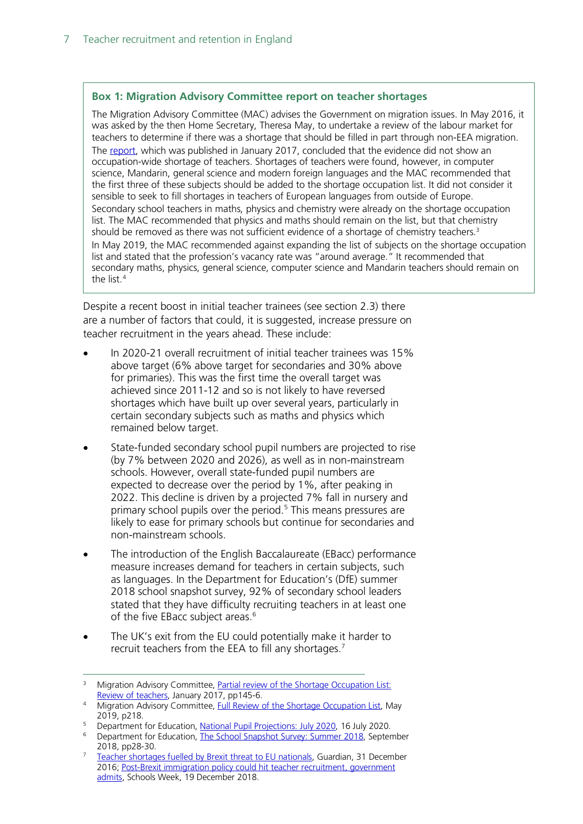#### **Box 1: Migration Advisory Committee report on teacher shortages**

The Migration Advisory Committee (MAC) advises the Government on migration issues. In May 2016, it was asked by the then Home Secretary, Theresa May, to undertake a review of the labour market for teachers to determine if there was a shortage that should be filled in part through non-EEA migration. The [report,](https://www.gov.uk/government/uploads/system/uploads/attachment_data/file/585998/2017_01_26_MAC_report_teachers_SOL.pdf) which was published in January 2017, concluded that the evidence did not show an occupation-wide shortage of teachers. Shortages of teachers were found, however, in computer science, Mandarin, general science and modern foreign languages and the MAC recommended that the first three of these subjects should be added to the shortage occupation list. It did not consider it sensible to seek to fill shortages in teachers of European languages from outside of Europe. Secondary school teachers in maths, physics and chemistry were already on the shortage occupation list. The MAC recommended that physics and maths should remain on the list, but that chemistry should be removed as there was not sufficient evidence of a shortage of chemistry teachers.<sup>3</sup> In May 2019, the MAC recommended against expanding the list of subjects on the shortage occupation list and stated that the profession's vacancy rate was "around average." It recommended that secondary maths, physics, general science, computer science and Mandarin teachers should remain on the list.<sup>[4](#page-6-4)</sup>

Despite a recent boost in initial teacher trainees (see section 2.3) there are a number of factors that could, it is suggested, increase pressure on teacher recruitment in the years ahead. These include:

- In 2020-21 overall recruitment of initial teacher trainees was 15% above target (6% above target for secondaries and 30% above for primaries). This was the first time the overall target was achieved since 2011-12 and so is not likely to have reversed shortages which have built up over several years, particularly in certain secondary subjects such as maths and physics which remained below target.
- State-funded secondary school pupil numbers are projected to rise (by 7% between 2020 and 2026), as well as in non-mainstream schools. However, overall state-funded pupil numbers are expected to decrease over the period by 1%, after peaking in 2022. This decline is driven by a projected 7% fall in nursery and primary school pupils over the period. [5](#page-6-0) This means pressures are likely to ease for primary schools but continue for secondaries and non-mainstream schools.
- The introduction of the English Baccalaureate (EBacc) performance measure increases demand for teachers in certain subjects, such as languages. In the Department for Education's (DfE) summer 2018 school snapshot survey, 92% of secondary school leaders stated that they have difficulty recruiting teachers in at least one of the five EBacc subject areas.<sup>[6](#page-6-1)</sup>
- The UK's exit from the EU could potentially make it harder to recruit teachers from the EEA to fill any shortages.[7](#page-6-2)

<span id="page-6-3"></span><sup>&</sup>lt;sup>3</sup> Migration Advisory Committee, *Partial review of the Shortage Occupation List:* [Review of teachers,](https://www.gov.uk/government/uploads/system/uploads/attachment_data/file/585998/2017_01_26_MAC_report_teachers_SOL.pdf) January 2017, pp145-6.

<span id="page-6-4"></span>Migration Advisory Committee, [Full Review of the Shortage Occupation List,](https://assets.publishing.service.gov.uk/government/uploads/system/uploads/attachment_data/file/806331/28_05_2019_Full_Review_SOL_Final_Report_1159.pdf) May 2019, p218.

Department for Education, [National Pupil Projections: July 2020,](https://www.gov.uk/government/statistics/national-pupil-projections-july-2020) 16 July 2020.

<span id="page-6-1"></span><span id="page-6-0"></span><sup>6</sup> Department for Education, [The School Snapshot Survey: Summer 2018,](https://assets.publishing.service.gov.uk/government/uploads/system/uploads/attachment_data/file/773842/Summer_2018_SSS_Final_Report.pdf) September 2018, pp28-30.

<span id="page-6-2"></span><sup>7</sup> [Teacher shortages fuelled by Brexit threat to EU nationals,](https://www.theguardian.com/education/2016/dec/31/brexit-threat-to-teachers-from-eu) Guardian, 31 December 2016; [Post-Brexit immigration policy could hit teacher recruitment, government](https://schoolsweek.co.uk/post-brexit-immigration-policy-could-hit-teacher-recruitment-government-admits/)  [admits,](https://schoolsweek.co.uk/post-brexit-immigration-policy-could-hit-teacher-recruitment-government-admits/) Schools Week, 19 December 2018.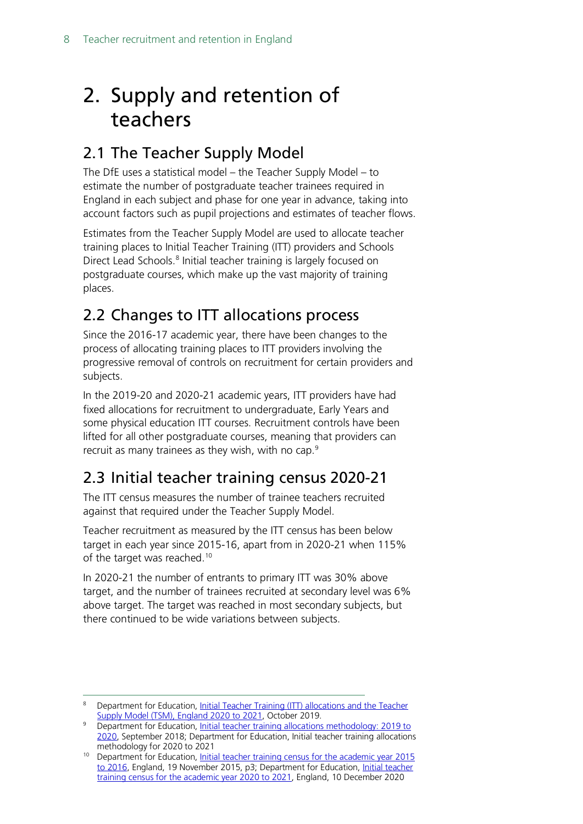## <span id="page-7-0"></span>2. Supply and retention of teachers

### <span id="page-7-1"></span>2.1 The Teacher Supply Model

The DfE uses a statistical model – the Teacher Supply Model – to estimate the number of postgraduate teacher trainees required in England in each subject and phase for one year in advance, taking into account factors such as pupil projections and estimates of teacher flows.

Estimates from the Teacher Supply Model are used to allocate teacher training places to Initial Teacher Training (ITT) providers and Schools Direct Lead Schools.<sup>[8](#page-7-4)</sup> Initial teacher training is largely focused on postgraduate courses, which make up the vast majority of training places.

### <span id="page-7-2"></span>2.2 Changes to ITT allocations process

Since the 2016-17 academic year, there have been changes to the process of allocating training places to ITT providers involving the progressive removal of controls on recruitment for certain providers and subjects.

In the 2019-20 and 2020-21 academic years, ITT providers have had fixed allocations for recruitment to undergraduate, Early Years and some physical education ITT courses. Recruitment controls have been lifted for all other postgraduate courses, meaning that providers can recruit as many trainees as they wish, with no cap.<sup>[9](#page-7-5)</sup>

### <span id="page-7-3"></span>2.3 Initial teacher training census 2020-21

The ITT census measures the number of trainee teachers recruited against that required under the Teacher Supply Model.

Teacher recruitment as measured by the ITT census has been below target in each year since 2015-16, apart from in 2020-21 when 115% of the target was reached.<sup>[10](#page-7-6)</sup>

In 2020-21 the number of entrants to primary ITT was 30% above target, and the number of trainees recruited at secondary level was 6% above target. The target was reached in most secondary subjects, but there continued to be wide variations between subjects.

<span id="page-7-4"></span><sup>&</sup>lt;sup>8</sup> Department for Education, Initial Teacher Training (ITT) allocations and the Teacher [Supply Model \(TSM\), England 2020 to 2021,](https://assets.publishing.service.gov.uk/government/uploads/system/uploads/attachment_data/file/839879/The_teacher_supply_model_and_initial_teacher_training_allocations_2020_to_2021.pdfhttps:/assets.publishing.service.gov.uk/government/uploads/system/uploads/attachment_data/file/839879/The_teacher_supply_model_and_initial_teacher_training_allocations_2020_to_2021.pdf) October 2019.

<span id="page-7-5"></span><sup>&</sup>lt;sup>9</sup> Department for Education, Initial teacher training allocations methodology: 2019 to [2020,](https://www.gov.uk/government/publications/initial-teacher-training-itt-requesting-places-2019-to-2020) September 2018; Department for Education, Initial teacher training allocations methodology for 2020 to 2021

<span id="page-7-6"></span><sup>&</sup>lt;sup>10</sup> Department for Education, Initial teacher training census for the academic year 2015 [to 2016,](https://www.gov.uk/government/uploads/system/uploads/attachment_data/file/478098/ITT_CENSUS_SFR_46_2015_to_2016.pdf) England, 19 November 2015, p3; Department for Education, Initial teacher [training census for the academic year 2020 to 2021,](https://explore-education-statistics.service.gov.uk/find-statistics/initial-teacher-training-census/2020-21#releaseHeadlines-tables) England, 10 December 2020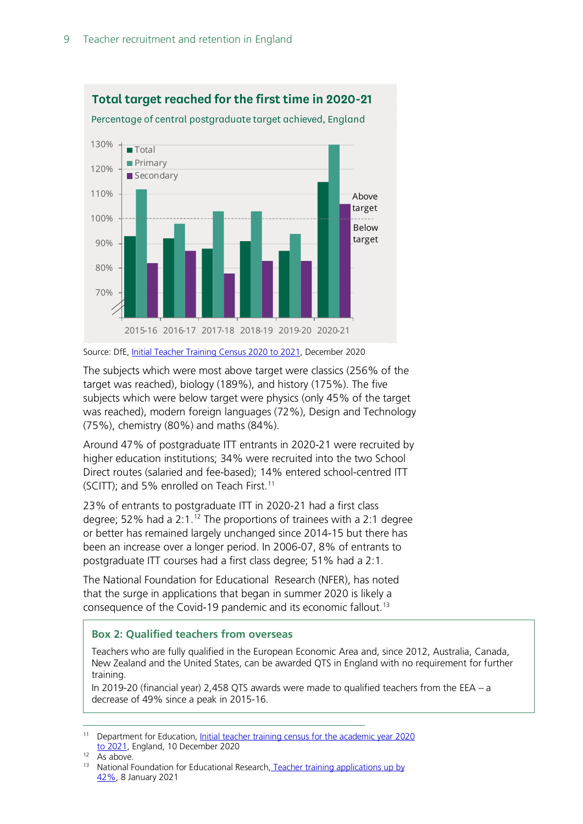

Source: DfE[, Initial Teacher Training Census](https://www.gov.uk/government/statistics/initial-teacher-training-trainee-number-census-2020-to-2021) 2020 to 2021, December 2020

The subjects which were most above target were classics (256% of the target was reached), biology (189%), and history (175%). The five subjects which were below target were physics (only 45% of the target was reached), modern foreign languages (72%), Design and Technology (75%), chemistry (80%) and maths (84%).

Around 47% of postgraduate ITT entrants in 2020-21 were recruited by higher education institutions; 34% were recruited into the two School Direct routes (salaried and fee-based); 14% entered school-centred ITT (SCITT); and 5% enrolled on Teach First.<sup>[11](#page-8-0)</sup>

23% of entrants to postgraduate ITT in 2020-21 had a first class degree; 52% had a  $2:1.^{12}$  $2:1.^{12}$  $2:1.^{12}$  The proportions of trainees with a 2:1 degree or better has remained largely unchanged since 2014-15 but there has been an increase over a longer period. In 2006-07, 8% of entrants to postgraduate ITT courses had a first class degree; 51% had a 2:1.

The National Foundation for Educational Research (NFER), has noted that the surge in applications that began in summer 2020 is likely a consequence of the Covid-19 pandemic and its economic fallout.<sup>[13](#page-8-2)</sup>

#### **Box 2: Qualified teachers from overseas**

Teachers who are fully qualified in the European Economic Area and, since 2012, Australia, Canada, New Zealand and the United States, can be awarded QTS in England with no requirement for further training.

In 2019-20 (financial year) 2,458 QTS awards were made to qualified teachers from the EEA – a decrease of 49% since a peak in 2015-16.

<span id="page-8-0"></span><sup>11</sup> Department for Education, [Initial teacher training census for the academic year 2020](https://explore-education-statistics.service.gov.uk/find-statistics/initial-teacher-training-census/2020-21#releaseHeadlines-tables)  [to 2021,](https://explore-education-statistics.service.gov.uk/find-statistics/initial-teacher-training-census/2020-21#releaseHeadlines-tables) England, 10 December 2020

<span id="page-8-1"></span> $12$  As above.

<span id="page-8-2"></span><sup>&</sup>lt;sup>13</sup> National Foundation for Educational Research, Teacher training applications up by [42%,](https://www.nfer.ac.uk/news-events/nfer-blogs/teacher-training-applications-up-by-42-percent/) 8 January 2021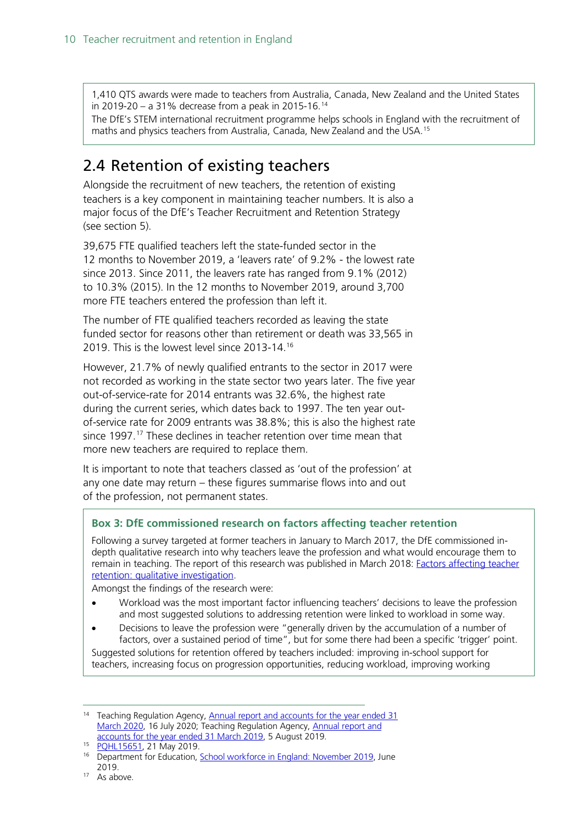1,410 QTS awards were made to teachers from Australia, Canada, New Zealand and the United States in 2019-20 – a 31% decrease from a peak in 2015-16.<sup>[14](#page-9-1)</sup>

The DfE's STEM international recruitment programme helps schools in England with the recruitment of maths and physics teachers from Australia, Canada, New Zealand and the USA[.15](#page-9-2)

### <span id="page-9-0"></span>2.4 Retention of existing teachers

Alongside the recruitment of new teachers, the retention of existing teachers is a key component in maintaining teacher numbers. It is also a major focus of the DfE's Teacher Recruitment and Retention Strategy (see section 5).

39,675 FTE qualified teachers left the state-funded sector in the 12 months to November 2019, a 'leavers rate' of 9.2% - the lowest rate since 2013. Since 2011, the leavers rate has ranged from 9.1% (2012) to 10.3% (2015). In the 12 months to November 2019, around 3,700 more FTE teachers entered the profession than left it.

The number of FTE qualified teachers recorded as leaving the state funded sector for reasons other than retirement or death was 33,565 in 2019. This is the lowest level since 2013-14. [16](#page-9-3)

However, 21.7% of newly qualified entrants to the sector in 2017 were not recorded as working in the state sector two years later. The five year out-of-service-rate for 2014 entrants was 32.6%, the highest rate during the current series, which dates back to 1997. The ten year outof-service rate for 2009 entrants was 38.8%; this is also the highest rate since 1997.<sup>[17](#page-9-4)</sup> These declines in teacher retention over time mean that more new teachers are required to replace them.

It is important to note that teachers classed as 'out of the profession' at any one date may return – these figures summarise flows into and out of the profession, not permanent states.

#### **Box 3: DfE commissioned research on factors affecting teacher retention**

Following a survey targeted at former teachers in January to March 2017, the DfE commissioned indepth qualitative research into why teachers leave the profession and what would encourage them to remain in teaching. The report of this research was published in March 2018: [Factors affecting teacher](https://assets.publishing.service.gov.uk/government/uploads/system/uploads/attachment_data/file/686947/Factors_affecting_teacher_retention_-_qualitative_investigation.pdf)  [retention: qualitative investigation.](https://assets.publishing.service.gov.uk/government/uploads/system/uploads/attachment_data/file/686947/Factors_affecting_teacher_retention_-_qualitative_investigation.pdf)

Amongst the findings of the research were:

- Workload was the most important factor influencing teachers' decisions to leave the profession and most suggested solutions to addressing retention were linked to workload in some way.
- Decisions to leave the profession were "generally driven by the accumulation of a number of factors, over a sustained period of time", but for some there had been a specific 'trigger' point.

Suggested solutions for retention offered by teachers included: improving in-school support for teachers, increasing focus on progression opportunities, reducing workload, improving working

<span id="page-9-1"></span><sup>&</sup>lt;sup>14</sup> Teaching Regulation Agency, Annual report and accounts for the year ended 31 [March 2020,](https://www.gov.uk/government/publications/teaching-regulation-agency-annual-report-and-accounts-2019-to-2020) 16 July 2020; Teaching Regulation Agency, Annual report and [accounts for the year ended 31 March 2019,](https://www.gov.uk/government/publications/teaching-regulation-agency-annual-report-and-accounts-2018-to-2019) 5 August 2019.

<span id="page-9-2"></span><sup>15</sup> [PQHL15651,](https://www.parliament.uk/written-questions-answers-statements/written-question/lords/2019-05-09/HL15651) 21 May 2019.

<span id="page-9-3"></span><sup>&</sup>lt;sup>16</sup> Department for Education, **School workforce in England: November 2019**, June 2019.

<span id="page-9-4"></span><sup>&</sup>lt;sup>17</sup> As above.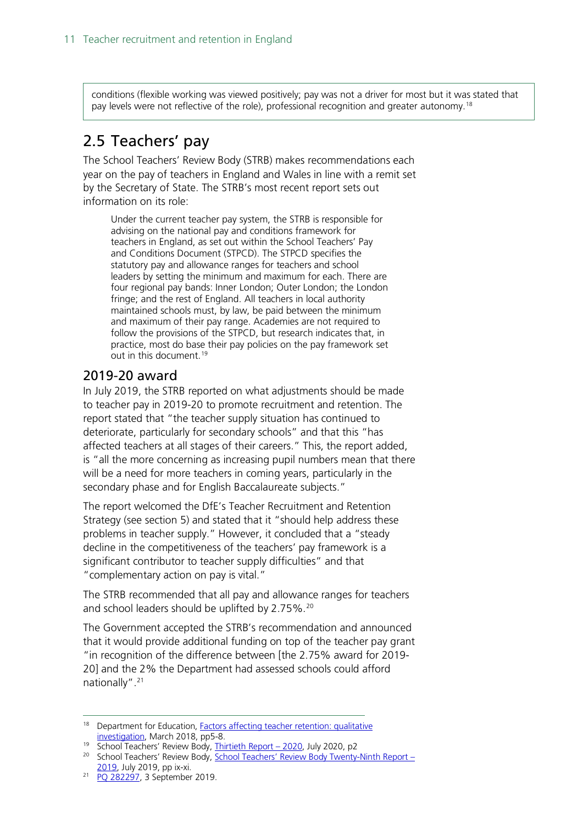conditions (flexible working was viewed positively; pay was not a driver for most but it was stated that pay levels were not reflective of the role), professional recognition and greater autonomy.<sup>[18](#page-10-2)</sup>

### <span id="page-10-0"></span>2.5 Teachers' pay

The School Teachers' Review Body (STRB) makes recommendations each year on the pay of teachers in England and Wales in line with a remit set by the Secretary of State. The STRB's most recent report sets out information on its role:

Under the current teacher pay system, the STRB is responsible for advising on the national pay and conditions framework for teachers in England, as set out within the School Teachers' Pay and Conditions Document (STPCD). The STPCD specifies the statutory pay and allowance ranges for teachers and school leaders by setting the minimum and maximum for each. There are four regional pay bands: Inner London; Outer London; the London fringe; and the rest of England. All teachers in local authority maintained schools must, by law, be paid between the minimum and maximum of their pay range. Academies are not required to follow the provisions of the STPCD, but research indicates that, in practice, most do base their pay policies on the pay framework set out in this document. [19](#page-10-3)

### <span id="page-10-1"></span>2019-20 award

In July 2019, the STRB reported on what adjustments should be made to teacher pay in 2019-20 to promote recruitment and retention. The report stated that "the teacher supply situation has continued to deteriorate, particularly for secondary schools" and that this "has affected teachers at all stages of their careers." This, the report added, is "all the more concerning as increasing pupil numbers mean that there will be a need for more teachers in coming years, particularly in the secondary phase and for English Baccalaureate subjects."

The report welcomed the DfE's Teacher Recruitment and Retention Strategy (see section 5) and stated that it "should help address these problems in teacher supply." However, it concluded that a "steady decline in the competitiveness of the teachers' pay framework is a significant contributor to teacher supply difficulties" and that "complementary action on pay is vital."

The STRB recommended that all pay and allowance ranges for teachers and school leaders should be uplifted by 2.75%.<sup>[20](#page-10-4)</sup>

The Government accepted the STRB's recommendation and announced that it would provide additional funding on top of the teacher pay grant "in recognition of the difference between [the 2.75% award for 2019- 20] and the 2% the Department had assessed schools could afford nationally".<sup>[21](#page-10-5)</sup>

19 School Teachers' Review Body, [Thirtieth Report –](https://www.gov.uk/government/publications/school-teachers-review-body-30th-report-2020) 2020, July 2020, p2

<span id="page-10-2"></span><sup>&</sup>lt;sup>18</sup> Department for Education, **Factors affecting teacher retention: qualitative** [investigation,](https://assets.publishing.service.gov.uk/government/uploads/system/uploads/attachment_data/file/686947/Factors_affecting_teacher_retention_-_qualitative_investigation.pdf) March 2018, pp5-8.

<span id="page-10-4"></span><span id="page-10-3"></span><sup>&</sup>lt;sup>20</sup> School Teachers' Review Body, [School Teachers' Review Body Twenty-Ninth Report –](https://assets.publishing.service.gov.uk/government/uploads/system/uploads/attachment_data/file/819428/School_Teachers__Review_Body_29th_report_2019.pdf) [2019,](https://assets.publishing.service.gov.uk/government/uploads/system/uploads/attachment_data/file/819428/School_Teachers__Review_Body_29th_report_2019.pdf) July 2019, pp ix-xi.

<span id="page-10-5"></span><sup>&</sup>lt;sup>21</sup> [PQ 282297,](https://www.parliament.uk/written-questions-answers-statements/written-question/commons/2019-07-25/282297) 3 September 2019.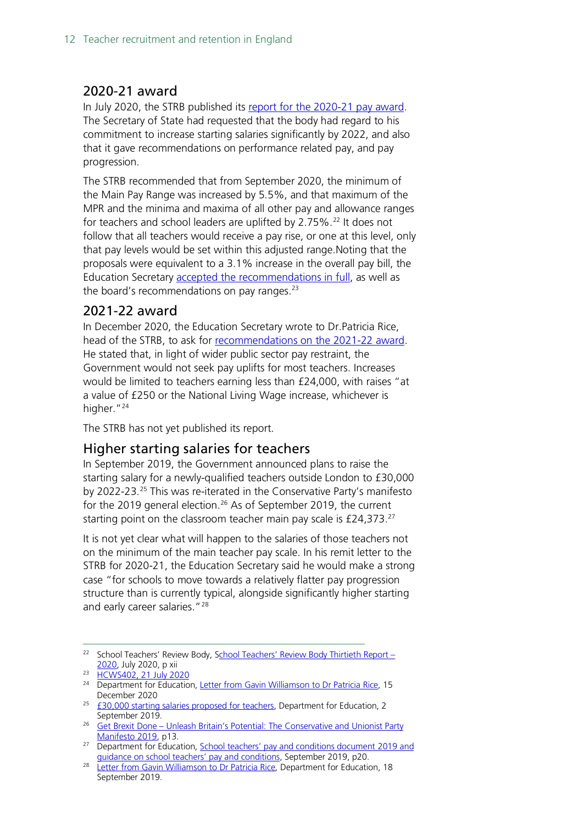### <span id="page-11-0"></span>2020-21 award

In July 2020, the STRB published its [report for the 2020-21 pay award.](https://www.gov.uk/government/publications/school-teachers-review-body-strb-remit-letter-for-2021) The Secretary of State had requested that the body had regard to his commitment to increase starting salaries significantly by 2022, and also that it gave recommendations on performance related pay, and pay progression.

The STRB recommended that from September 2020, the minimum of the Main Pay Range was increased by 5.5%, and that maximum of the MPR and the minima and maxima of all other pay and allowance ranges for teachers and school leaders are uplifted by 2.75%. [22](#page-11-3) It does not follow that all teachers would receive a pay rise, or one at this level, only that pay levels would be set within this adjusted range.Noting that the proposals were equivalent to a 3.1% increase in the overall pay bill, the Education Secretary [accepted the recommendations in full,](https://questions-statements.parliament.uk/written-statements/detail/2020-07-21/HCWS402) as well as the board's recommendations on pay ranges. $23$ 

### <span id="page-11-1"></span>2021-22 award

In December 2020, the Education Secretary wrote to Dr.Patricia Rice, head of the STRB, to ask for [recommendations on the 2021-22](https://www.gov.uk/government/publications/school-teachers-review-body-strb-remit-letter-for-2021) award. He stated that, in light of wider public sector pay restraint, the Government would not seek pay uplifts for most teachers. Increases would be limited to teachers earning less than £24,000, with raises "at a value of £250 or the National Living Wage increase, whichever is higher."<sup>[24](#page-11-5)</sup>

The STRB has not yet published its report.

### <span id="page-11-2"></span>Higher starting salaries for teachers

In September 2019, the Government announced plans to raise the starting salary for a newly-qualified teachers outside London to £30,000 by 2022-23.[25](#page-11-6) This was re-iterated in the Conservative Party's manifesto for the 2019 general election[.26](#page-11-7) As of September 2019, the current starting point on the classroom teacher main pay scale is £24,373.<sup>27</sup>

It is not yet clear what will happen to the salaries of those teachers not on the minimum of the main teacher pay scale. In his remit letter to the STRB for 2020-21, the Education Secretary said he would make a strong case "for schools to move towards a relatively flatter pay progression structure than is currently typical, alongside significantly higher starting and early career salaries."<sup>[28](#page-11-9)</sup>

<span id="page-11-3"></span><sup>&</sup>lt;sup>22</sup> School Teachers' Review Body, [School Teachers' Review Body Thirtieth Report –](https://assets.publishing.service.gov.uk/government/uploads/system/uploads/attachment_data/file/902393/STRB_30th_report_July_2020.pdf) [2020,](https://assets.publishing.service.gov.uk/government/uploads/system/uploads/attachment_data/file/902393/STRB_30th_report_July_2020.pdf) July 2020, p xii

<span id="page-11-4"></span><sup>&</sup>lt;sup>23</sup> [HCWS402, 21 July 2020](https://questions-statements.parliament.uk/written-statements/detail/2020-07-21/HCWS402)

<span id="page-11-5"></span><sup>&</sup>lt;sup>24</sup> Department for Education, [Letter from Gavin Williamson to Dr Patricia Rice,](https://www.gov.uk/government/publications/school-teachers-review-body-strb-remit-letter-for-2021) 15 December 2020

<span id="page-11-6"></span> $25$  [£30,000 starting salaries proposed for teachers,](https://www.gov.uk/government/news/30000-starting-salaries-proposed-for-teachers) Department for Education, 2 September 2019.

<span id="page-11-7"></span><sup>&</sup>lt;sup>26</sup> Get Brexit Done – Unleash Britain's Potential: The Conservative and Unionist Party [Manifesto 2019,](https://assets-global.website-files.com/5da42e2cae7ebd3f8bde353c/5dda924905da587992a064ba_Conservative%202019%20Manifesto.pdf) p13.

<span id="page-11-8"></span><sup>&</sup>lt;sup>27</sup> Department for Education, School teachers' pay and conditions document 2019 and [guidance on school teachers' pay and conditions,](https://assets.publishing.service.gov.uk/government/uploads/system/uploads/attachment_data/file/832634/School_teachers_pay_and_conditions_2019.pdf) September 2019, p20.

<span id="page-11-9"></span><sup>&</sup>lt;sup>28</sup> [Letter from Gavin Williamson to Dr Patricia Rice,](https://www.gov.uk/government/publications/school-teachers-review-body-strb-remit-letter-for-2020) Department for Education, 18 September 2019.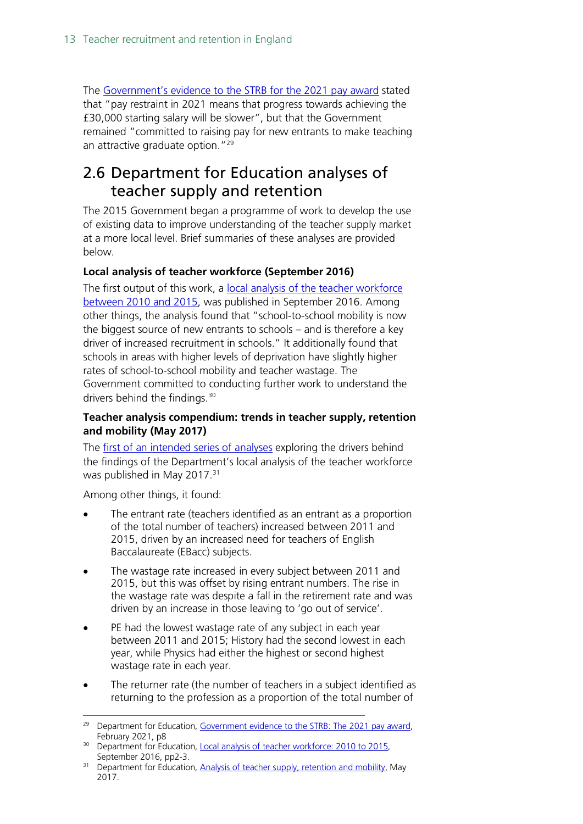The [Government's evidence to the STRB for](https://www.gov.uk/government/publications/evidence-to-the-strb-2021-pay-award-for-school-staff) the 2021 pay award stated that "pay restraint in 2021 means that progress towards achieving the £30,000 starting salary will be slower", but that the Government remained "committed to raising pay for new entrants to make teaching an attractive graduate option."<sup>[29](#page-12-1)</sup>

### <span id="page-12-0"></span>2.6 Department for Education analyses of teacher supply and retention

The 2015 Government began a programme of work to develop the use of existing data to improve understanding of the teacher supply market at a more local level. Brief summaries of these analyses are provided below.

#### **Local analysis of teacher workforce (September 2016)**

The first output of this work, a [local analysis of the teacher workforce](https://www.gov.uk/government/statistics/local-analysis-of-teacher-workforce-2010-to-2015)  [between 2010 and 2015,](https://www.gov.uk/government/statistics/local-analysis-of-teacher-workforce-2010-to-2015) was published in September 2016. Among other things, the analysis found that "school-to-school mobility is now the biggest source of new entrants to schools – and is therefore a key driver of increased recruitment in schools." It additionally found that schools in areas with higher levels of deprivation have slightly higher rates of school-to-school mobility and teacher wastage. The Government committed to conducting further work to understand the drivers behind the findings.<sup>[30](#page-12-2)</sup>

#### **Teacher analysis compendium: trends in teacher supply, retention and mobility (May 2017)**

The [first of an intended series of analyses](https://www.gov.uk/government/statistics/teachers-analysis-compendium-2017) exploring the drivers behind the findings of the Department's local analysis of the teacher workforce was published in May 2017.<sup>31</sup>

Among other things, it found:

- The entrant rate (teachers identified as an entrant as a proportion of the total number of teachers) increased between 2011 and 2015, driven by an increased need for teachers of English Baccalaureate (EBacc) subjects.
- The wastage rate increased in every subject between 2011 and 2015, but this was offset by rising entrant numbers. The rise in the wastage rate was despite a fall in the retirement rate and was driven by an increase in those leaving to 'go out of service'.
- PE had the lowest wastage rate of any subject in each year between 2011 and 2015; History had the second lowest in each year, while Physics had either the highest or second highest wastage rate in each year.
- The returner rate (the number of teachers in a subject identified as returning to the profession as a proportion of the total number of

<span id="page-12-1"></span><sup>&</sup>lt;sup>29</sup> Department for Education, [Government evidence to the STRB:](https://assets.publishing.service.gov.uk/government/uploads/system/uploads/attachment_data/file/967761/STRB_Written_Evidence_2021.pdf) The 2021 pay award, February 2021, p8

<span id="page-12-2"></span><sup>&</sup>lt;sup>30</sup> Department for Education, Local analysis of teacher workforce: 2010 to 2015, September 2016, pp2-3.

<span id="page-12-3"></span><sup>&</sup>lt;sup>31</sup> Department for Education, [Analysis of teacher supply, retention and mobility,](https://www.gov.uk/government/statistics/teachers-analysis-compendium-2017) May 2017.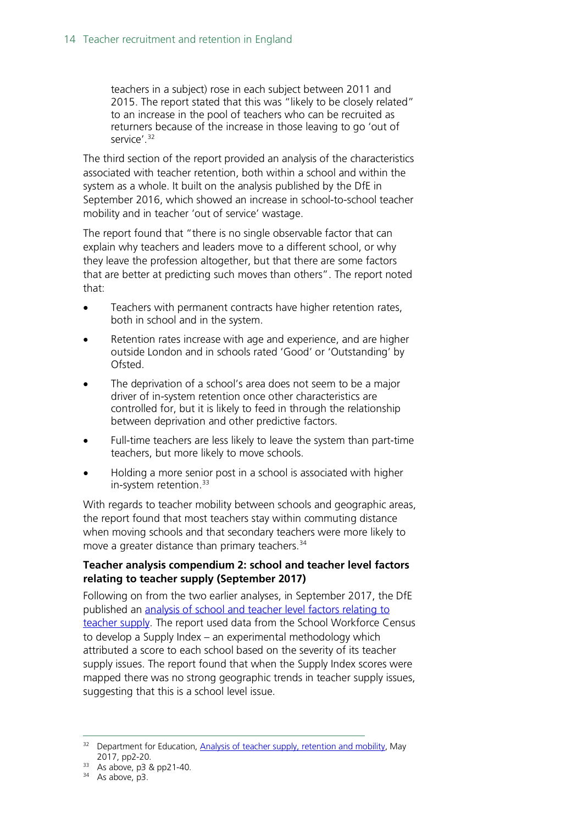teachers in a subject) rose in each subject between 2011 and 2015. The report stated that this was "likely to be closely related" to an increase in the pool of teachers who can be recruited as returners because of the increase in those leaving to go 'out of service'.<sup>[32](#page-13-0)</sup>

The third section of the report provided an analysis of the characteristics associated with teacher retention, both within a school and within the system as a whole. It built on the analysis published by the DfE in September 2016, which showed an increase in school-to-school teacher mobility and in teacher 'out of service' wastage.

The report found that "there is no single observable factor that can explain why teachers and leaders move to a different school, or why they leave the profession altogether, but that there are some factors that are better at predicting such moves than others". The report noted that:

- Teachers with permanent contracts have higher retention rates, both in school and in the system.
- Retention rates increase with age and experience, and are higher outside London and in schools rated 'Good' or 'Outstanding' by Ofsted.
- The deprivation of a school's area does not seem to be a major driver of in-system retention once other characteristics are controlled for, but it is likely to feed in through the relationship between deprivation and other predictive factors.
- Full-time teachers are less likely to leave the system than part-time teachers, but more likely to move schools.
- Holding a more senior post in a school is associated with higher in-system retention.<sup>[33](#page-13-1)</sup>

With regards to teacher mobility between schools and geographic areas, the report found that most teachers stay within commuting distance when moving schools and that secondary teachers were more likely to move a greater distance than primary teachers.<sup>[34](#page-13-2)</sup>

#### **Teacher analysis compendium 2: school and teacher level factors relating to teacher supply (September 2017)**

Following on from the two earlier analyses, in September 2017, the DfE published an [analysis of school and teacher level factors relating to](https://www.gov.uk/government/uploads/system/uploads/attachment_data/file/643974/SFR86_2017_Main_Text.pdf)  [teacher supply.](https://www.gov.uk/government/uploads/system/uploads/attachment_data/file/643974/SFR86_2017_Main_Text.pdf) The report used data from the School Workforce Census to develop a Supply Index – an experimental methodology which attributed a score to each school based on the severity of its teacher supply issues. The report found that when the Supply Index scores were mapped there was no strong geographic trends in teacher supply issues, suggesting that this is a school level issue.

<span id="page-13-0"></span><sup>&</sup>lt;sup>32</sup> Department for Education, [Analysis of teacher supply, retention and mobility,](https://www.gov.uk/government/statistics/teachers-analysis-compendium-2017) May 2017, pp2-20.

<span id="page-13-1"></span><sup>&</sup>lt;sup>33</sup> As above, p3 & pp21-40.

<span id="page-13-2"></span> $34$  As above, p3.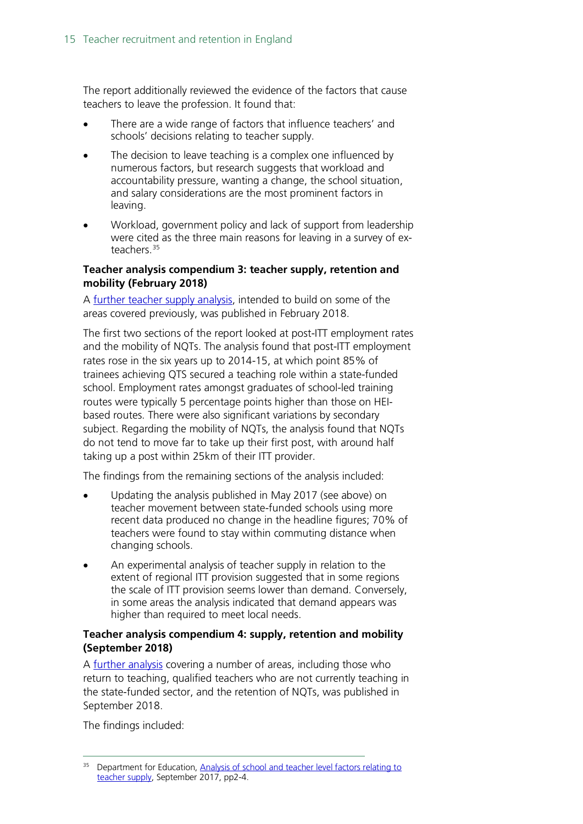The report additionally reviewed the evidence of the factors that cause teachers to leave the profession. It found that:

- There are a wide range of factors that influence teachers' and schools' decisions relating to teacher supply.
- The decision to leave teaching is a complex one influenced by numerous factors, but research suggests that workload and accountability pressure, wanting a change, the school situation, and salary considerations are the most prominent factors in leaving.
- Workload, government policy and lack of support from leadership were cited as the three main reasons for leaving in a survey of ex-teachers.<sup>[35](#page-14-0)</sup>

#### **Teacher analysis compendium 3: teacher supply, retention and mobility (February 2018)**

A [further teacher supply analysis,](https://assets.publishing.service.gov.uk/government/uploads/system/uploads/attachment_data/file/682892/SFR11_2018_Main_Text.pdf) intended to build on some of the areas covered previously, was published in February 2018.

The first two sections of the report looked at post-ITT employment rates and the mobility of NQTs. The analysis found that post-ITT employment rates rose in the six years up to 2014-15, at which point 85% of trainees achieving QTS secured a teaching role within a state-funded school. Employment rates amongst graduates of school-led training routes were typically 5 percentage points higher than those on HEIbased routes. There were also significant variations by secondary subject. Regarding the mobility of NQTs, the analysis found that NQTs do not tend to move far to take up their first post, with around half taking up a post within 25km of their ITT provider.

The findings from the remaining sections of the analysis included:

- Updating the analysis published in May 2017 (see above) on teacher movement between state-funded schools using more recent data produced no change in the headline figures; 70% of teachers were found to stay within commuting distance when changing schools.
- An experimental analysis of teacher supply in relation to the extent of regional ITT provision suggested that in some regions the scale of ITT provision seems lower than demand. Conversely, in some areas the analysis indicated that demand appears was higher than required to meet local needs.

#### **Teacher analysis compendium 4: supply, retention and mobility (September 2018)**

A [further analysis](https://assets.publishing.service.gov.uk/government/uploads/system/uploads/attachment_data/file/743743/Teachers_Analysis_Compendium_4.pdf) covering a number of areas, including those who return to teaching, qualified teachers who are not currently teaching in the state-funded sector, and the retention of NQTs, was published in September 2018.

The findings included:

<span id="page-14-0"></span><sup>&</sup>lt;sup>35</sup> Department for Education, Analysis of school and teacher level factors relating to [teacher supply,](https://www.gov.uk/government/uploads/system/uploads/attachment_data/file/643974/SFR86_2017_Main_Text.pdf) September 2017, pp2-4.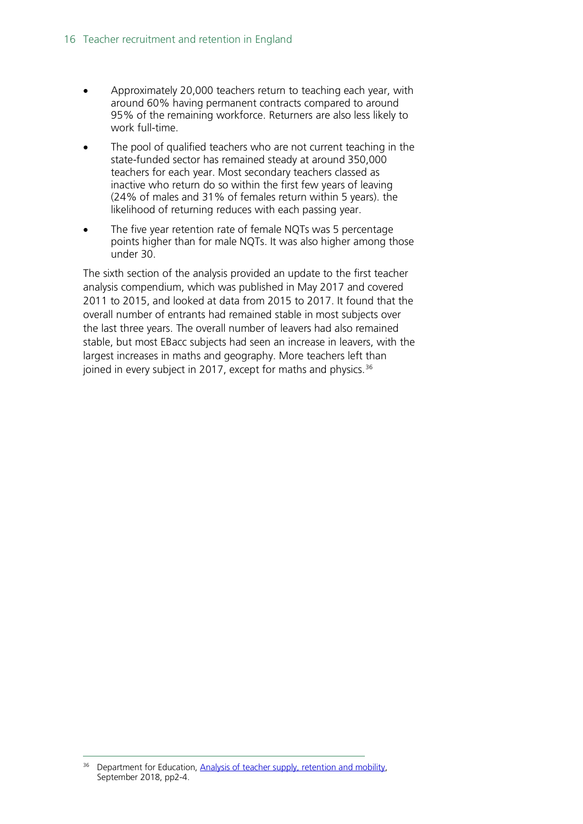- Approximately 20,000 teachers return to teaching each year, with around 60% having permanent contracts compared to around 95% of the remaining workforce. Returners are also less likely to work full-time.
- The pool of qualified teachers who are not current teaching in the state-funded sector has remained steady at around 350,000 teachers for each year. Most secondary teachers classed as inactive who return do so within the first few years of leaving (24% of males and 31% of females return within 5 years). the likelihood of returning reduces with each passing year.
- The five year retention rate of female NQTs was 5 percentage points higher than for male NQTs. It was also higher among those under 30.

The sixth section of the analysis provided an update to the first teacher analysis compendium, which was published in May 2017 and covered 2011 to 2015, and looked at data from 2015 to 2017. It found that the overall number of entrants had remained stable in most subjects over the last three years. The overall number of leavers had also remained stable, but most EBacc subjects had seen an increase in leavers, with the largest increases in maths and geography. More teachers left than joined in every subject in 2017, except for maths and physics.<sup>[36](#page-15-0)</sup>

<span id="page-15-0"></span>Department for Education, Analysis of teacher supply, retention and mobility, September 2018, pp2-4.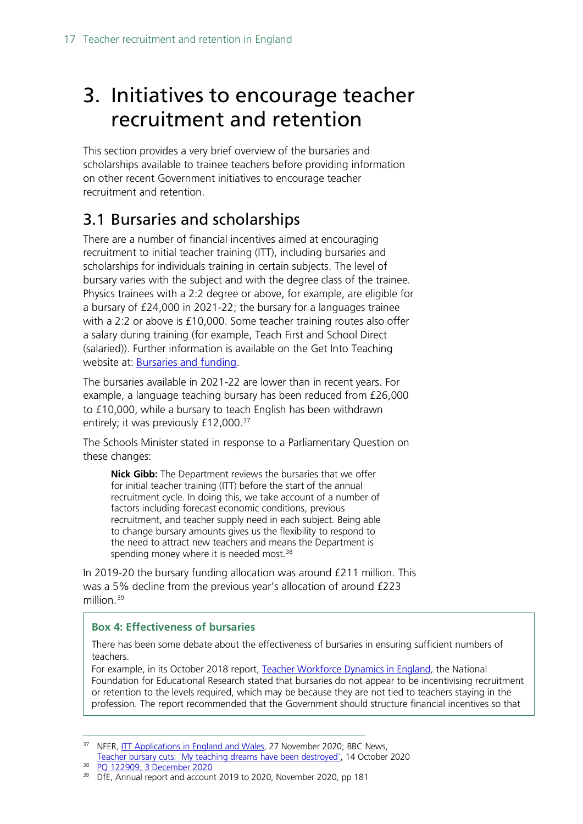## <span id="page-16-0"></span>3. Initiatives to encourage teacher recruitment and retention

This section provides a very brief overview of the bursaries and scholarships available to trainee teachers before providing information on other recent Government initiatives to encourage teacher recruitment and retention.

### <span id="page-16-1"></span>3.1 Bursaries and scholarships

There are a number of financial incentives aimed at encouraging recruitment to initial teacher training (ITT), including bursaries and scholarships for individuals training in certain subjects. The level of bursary varies with the subject and with the degree class of the trainee. Physics trainees with a 2:2 degree or above, for example, are eligible for a bursary of £24,000 in 2021-22; the bursary for a languages trainee with a 2:2 or above is £10,000. Some teacher training routes also offer a salary during training (for example, Teach First and School Direct (salaried)). Further information is available on the Get Into Teaching website at: [Bursaries and funding.](https://getintoteaching.education.gov.uk/funding-and-salary/overview)

The bursaries available in 2021-22 are lower than in recent years. For example, a language teaching bursary has been reduced from £26,000 to £10,000, while a bursary to teach English has been withdrawn entirely; it was previously £12,000.<sup>[37](#page-16-2)</sup>

The Schools Minister stated in response to a Parliamentary Question on these changes:

**Nick Gibb:** The Department reviews the bursaries that we offer for initial teacher training (ITT) before the start of the annual recruitment cycle. In doing this, we take account of a number of factors including forecast economic conditions, previous recruitment, and teacher supply need in each subject. Being able to change bursary amounts gives us the flexibility to respond to the need to attract new teachers and means the Department is spending money where it is needed most.<sup>[38](#page-16-3)</sup>

In 2019-20 the bursary funding allocation was around £211 million. This was a 5% decline from the previous year's allocation of around £223 million. [39](#page-16-4)

#### **Box 4: Effectiveness of bursaries**

There has been some debate about the effectiveness of bursaries in ensuring sufficient numbers of teachers.

For example, in its October 2018 report, [Teacher Workforce Dynamics in England](https://www.nfer.ac.uk/teacher-workforce-dynamics-in-england/), the National Foundation for Educational Research stated that bursaries do not appear to be incentivising recruitment or retention to the levels required, which may be because they are not tied to teachers staying in the profession. The report recommended that the Government should structure financial incentives so that

<span id="page-16-2"></span><sup>&</sup>lt;sup>37</sup> NFER, [ITT Applications in England and Wales,](https://www.nfer.ac.uk/news-events/nfer-blogs/itt-applications-in-england-and-wales/) 27 November 2020; BBC News,

[Teacher bursary cuts: 'My teaching dreams have been destroyed',](https://www.bbc.co.uk/news/newsbeat-54541367) 14 October 2020

<span id="page-16-3"></span><sup>38</sup> [PQ 122909, 3 December 2020](https://questions-statements.parliament.uk/written-questions/detail/2020-11-30/122909)

<span id="page-16-4"></span><sup>&</sup>lt;sup>39</sup> DfE, Annual report and account 2019 to 2020, November 2020, pp 181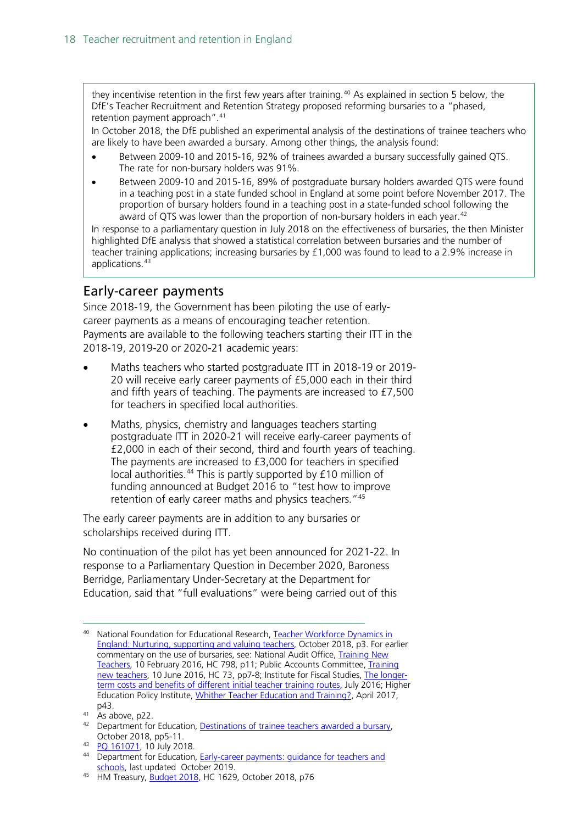they incentivise retention in the first few years after training.<sup>[40](#page-17-1)</sup> As explained in section 5 below, the DfE's Teacher Recruitment and Retention Strategy proposed reforming bursaries to a "phased, retention payment approach".[41](#page-17-2)

In October 2018, the DfE published an experimental analysis of the destinations of trainee teachers who are likely to have been awarded a bursary. Among other things, the analysis found:

- Between 2009-10 and 2015-16, 92% of trainees awarded a bursary successfully gained QTS. The rate for non-bursary holders was 91%.
- Between 2009-10 and 2015-16, 89% of postgraduate bursary holders awarded QTS were found in a teaching post in a state funded school in England at some point before November 2017. The proportion of bursary holders found in a teaching post in a state-funded school following the award of QTS was lower than the proportion of non-bursary holders in each year.<sup>42</sup>

In response to a parliamentary question in July 2018 on the effectiveness of bursaries, the then Minister highlighted DfE analysis that showed a statistical correlation between bursaries and the number of teacher training applications; increasing bursaries by £1,000 was found to lead to a 2.9% increase in applications.<sup>[43](#page-17-4)</sup>

### <span id="page-17-0"></span>Early-career payments

Since 2018-19, the Government has been piloting the use of earlycareer payments as a means of encouraging teacher retention. Payments are available to the following teachers starting their ITT in the 2018-19, 2019-20 or 2020-21 academic years:

- Maths teachers who started postgraduate ITT in 2018-19 or 2019- 20 will receive early career payments of £5,000 each in their third and fifth years of teaching. The payments are increased to £7,500 for teachers in specified local authorities.
- Maths, physics, chemistry and languages teachers starting postgraduate ITT in 2020-21 will receive early-career payments of £2,000 in each of their second, third and fourth years of teaching. The payments are increased to £3,000 for teachers in specified local authorities.<sup>[44](#page-17-5)</sup> This is partly supported by £10 million of funding announced at Budget 2016 to "test how to improve retention of early career maths and physics teachers."[45](#page-17-6)

The early career payments are in addition to any bursaries or scholarships received during ITT.

No continuation of the pilot has yet been announced for 2021-22. In response to a Parliamentary Question in December 2020, Baroness Berridge, Parliamentary Under-Secretary at the Department for Education, said that "full evaluations" were being carried out of this

<span id="page-17-1"></span><sup>40</sup> National Foundation for Educational Research, [Teacher Workforce Dynamics in](https://www.nfer.ac.uk/media/3111/teacher_workforce_dynamics_in_england_final_report.pdf)  [England: Nurturing, supporting and valuing teachers,](https://www.nfer.ac.uk/media/3111/teacher_workforce_dynamics_in_england_final_report.pdf) October 2018, p3. For earlier commentary on the use of bursaries, see: National Audit Office, Training New [Teachers,](https://www.nao.org.uk/report/training-new-teachers/) 10 February 2016, HC 798, p11; Public Accounts Committee, Training [new teachers,](https://www.publications.parliament.uk/pa/cm201617/cmselect/cmpubacc/73/73.pdf) 10 June 2016, HC 73, pp7-8; Institute for Fiscal Studies, [The longer](https://www.ifs.org.uk/publications/8368)[term costs and benefits of different initial teacher training routes,](https://www.ifs.org.uk/publications/8368) July 2016; Higher Education Policy Institute, [Whither Teacher Education and Training?,](http://www.hepi.ac.uk/wp-content/uploads/2017/04/Embargoed-until-00.01am-Thursday-27-April-2017-WHITHER-TEACHER-EDUCATION-AND-TRAINING-Report-95-19_04_17WEB.pdf) April 2017,

<span id="page-17-2"></span>p43.<br><sup>41</sup> As above, p22.

<span id="page-17-3"></span><sup>&</sup>lt;sup>42</sup> Department for Education, [Destinations of trainee teachers awarded a bursary,](https://assets.publishing.service.gov.uk/government/uploads/system/uploads/attachment_data/file/751197/Annex_-_Destinations_of_trainee_teachers_awarded_a_bursary__1_.pdf) October 2018, pp5-11.

<span id="page-17-4"></span><sup>43</sup> [PQ 161071,](https://www.parliament.uk/written-questions-answers-statements/written-question/commons/2018-07-05/161071) 10 July 2018.

<span id="page-17-5"></span><sup>44</sup> Department for Education, Early-career payments: guidance for teachers and [schools,](https://www.gov.uk/guidance/mathematics-early-career-payments-guidance-for-teachers-and-schools?utm_source=d048083f-39e4-4b85-8fe9-11a60ac56839&utm_medium=email&utm_campaign=govuk-notifications&utm_content=immediate) last updated October 2019.

<span id="page-17-6"></span><sup>&</sup>lt;sup>45</sup> HM Treasury, **Budget 2018**, HC 1629, October 2018, p76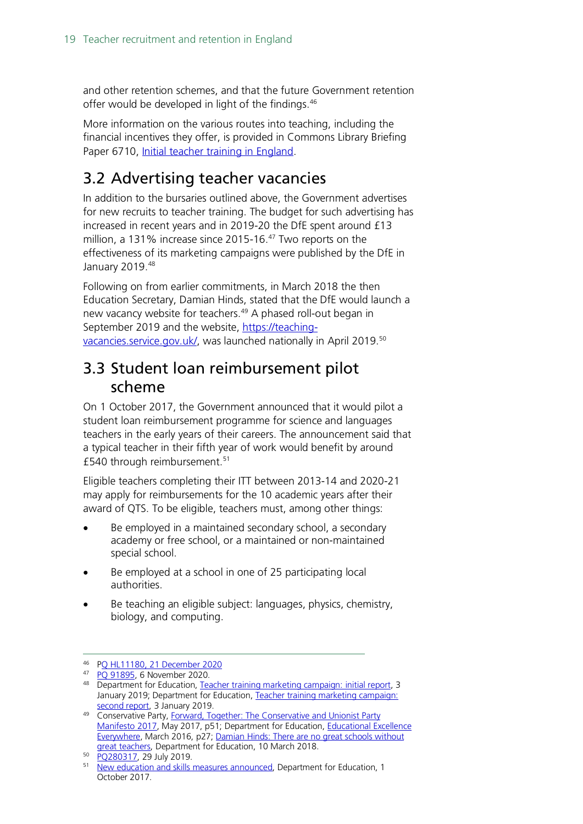and other retention schemes, and that the future Government retention offer would be developed in light of the findings.[46](#page-18-2)

More information on the various routes into teaching, including the financial incentives they offer, is provided in Commons Library Briefing Paper 6710, [Initial teacher training in England.](http://researchbriefings.files.parliament.uk/documents/SN06710/SN06710.pdf)

### <span id="page-18-0"></span>3.2 Advertising teacher vacancies

In addition to the bursaries outlined above, the Government advertises for new recruits to teacher training. The budget for such advertising has increased in recent years and in 2019-20 the DfE spent around £13 million, a 131% increase since 2015-16. [47](#page-18-3) Two reports on the effectiveness of its marketing campaigns were published by the DfE in January 2019[.48](#page-18-4)

Following on from earlier commitments, in March 2018 the then Education Secretary, Damian Hinds, stated that the DfE would launch a new vacancy website for teachers.<sup>[49](#page-18-5)</sup> A phased roll-out began in September 2019 and the website, [https://teaching](https://teaching-vacancies.service.gov.uk/)[vacancies.service.gov.uk/,](https://teaching-vacancies.service.gov.uk/) was launched nationally in April 2019[.50](#page-18-6)

### <span id="page-18-1"></span>3.3 Student loan reimbursement pilot scheme

On 1 October 2017, the Government announced that it would pilot a student loan reimbursement programme for science and languages teachers in the early years of their careers. The announcement said that a typical teacher in their fifth year of work would benefit by around £540 through reimbursement.[51](#page-18-7)

Eligible teachers completing their ITT between 2013-14 and 2020-21 may apply for reimbursements for the 10 academic years after their award of QTS. To be eligible, teachers must, among other things:

- Be employed in a maintained secondary school, a secondary academy or free school, or a maintained or non-maintained special school.
- Be employed at a school in one of 25 participating local authorities.
- Be teaching an eligible subject: languages, physics, chemistry, biology, and computing.

<span id="page-18-2"></span><sup>46</sup> [PQ HL11180, 21 December 2020](https://questions-statements.parliament.uk/written-questions/detail/2020-12-07/HL11180)

<span id="page-18-3"></span><sup>47</sup> [PQ 91895,](https://questions-statements.parliament.uk/written-questions/detail/2020-11-06/91895) 6 November 2020.

<span id="page-18-4"></span><sup>48</sup> Department for Education, [Teacher training marketing campaign: initial report,](https://www.gov.uk/government/publications/teacher-training-marketing-campaign-initial-report) 3 January 2019; Department for Education, [Teacher training marketing campaign:](https://www.gov.uk/government/publications/teacher-training-marketing-campaign-second-report)  [second report,](https://www.gov.uk/government/publications/teacher-training-marketing-campaign-second-report) 3 January 2019.

<span id="page-18-5"></span><sup>49</sup> Conservative Party, Forward, Together: The Conservative and Unionist Party [Manifesto 2017,](https://s3.eu-west-2.amazonaws.com/manifesto2017/Manifesto2017.pdf) May 2017, p51; Department for Education, Educational Excellence [Everywhere,](https://www.gov.uk/government/publications/educational-excellence-everywhere) March 2016, p27; [Damian Hinds: There are no great schools without](https://www.gov.uk/government/speeches/damian-hinds-there-are-no-great-schools-without-great-teachers)  [great teachers,](https://www.gov.uk/government/speeches/damian-hinds-there-are-no-great-schools-without-great-teachers) Department for Education, 10 March 2018.

<span id="page-18-6"></span><sup>50</sup> [PQ280317,](https://www.parliament.uk/written-questions-answers-statements/written-question/commons/2019-07-22/280317) 29 July 2019.

<span id="page-18-7"></span><sup>&</sup>lt;sup>51</sup> [New education and skills measures announced,](https://www.gov.uk/government/news/new-education-and-skills-measures-announced) Department for Education, 1 October 2017.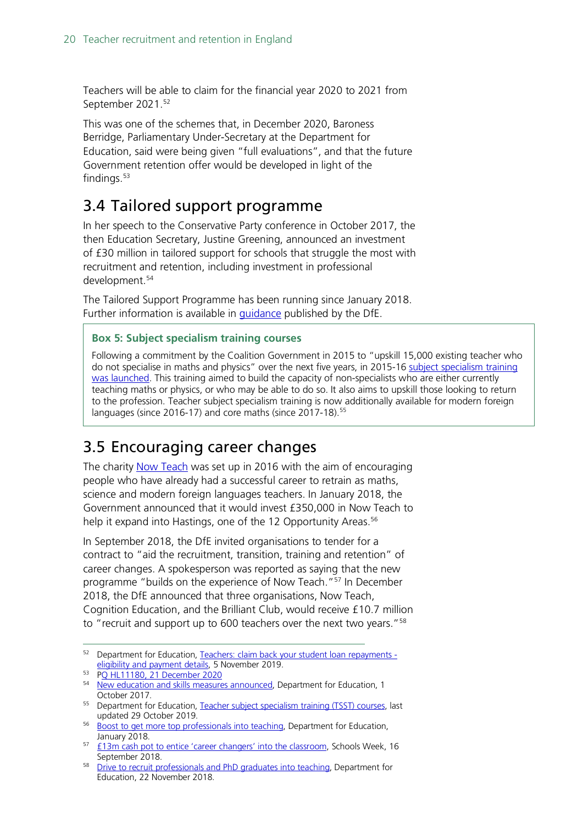Teachers will be able to claim for the financial year 2020 to 2021 from September 2021.[52](#page-19-2)

This was one of the schemes that, in December 2020, Baroness Berridge, Parliamentary Under-Secretary at the Department for Education, said were being given "full evaluations", and that the future Government retention offer would be developed in light of the findings. $53$ 

### <span id="page-19-0"></span>3.4 Tailored support programme

In her speech to the Conservative Party conference in October 2017, the then Education Secretary, Justine Greening, announced an investment of £30 million in tailored support for schools that struggle the most with recruitment and retention, including investment in professional development.[54](#page-19-4)

The Tailored Support Programme has been running since January 2018. Further information is available in [guidance](https://www.gov.uk/government/publications/tailored-support-programme-system-leaders-support?utm_source=7678eb46-9cc9-4561-bbcb-4f23ca8d4046&utm_medium=email&utm_campaign=govuk-notifications&utm_content=immediate) published by the DfE.

#### **Box 5: Subject specialism training courses**

Following a commitment by the Coalition Government in 2015 to "upskill 15,000 existing teacher who do not specialise in maths and physics" over the next five years, in 2015-16 subject specialism training [was launched.](https://www.gov.uk/guidance/teacher-subject-specialism-training-courses) This training aimed to build the capacity of non-specialists who are either currently teaching maths or physics, or who may be able to do so. It also aims to upskill those looking to return to the profession. Teacher subject specialism training is now additionally available for modern foreign languages (since 2016-17) and core maths (since 2017-18).<sup>[55](#page-19-8)</sup>

### <span id="page-19-1"></span>3.5 Encouraging career changes

The charity [Now Teach](https://nowteach.org.uk/) was set up in 2016 with the aim of encouraging people who have already had a successful career to retrain as maths, science and modern foreign languages teachers. In January 2018, the Government announced that it would invest £350,000 in Now Teach to help it expand into Hastings, one of the 12 Opportunity Areas.<sup>[56](#page-19-5)</sup>

In September 2018, the DfE invited organisations to tender for a contract to "aid the recruitment, transition, training and retention" of career changes. A spokesperson was reported as saying that the new programme "builds on the experience of Now Teach."[57](#page-19-6) In December 2018, the DfE announced that three organisations, Now Teach, Cognition Education, and the Brilliant Club, would receive £10.7 million to "recruit and support up to 600 teachers over the next two years."[58](#page-19-7)

<span id="page-19-2"></span><sup>52</sup> Department for Education, [Teachers: claim back your student loan repayments](https://www.gov.uk/government/publications/additional-payments-for-teaching-eligibility-and-payment-details/teachers-claim-back-your-student-loan-repayments-eligibility-and-payment-details)  [eligibility and payment details,](https://www.gov.uk/government/publications/additional-payments-for-teaching-eligibility-and-payment-details/teachers-claim-back-your-student-loan-repayments-eligibility-and-payment-details) 5 November 2019.

<span id="page-19-3"></span><sup>53</sup> [PQ HL11180, 21 December 2020](https://questions-statements.parliament.uk/written-questions/detail/2020-12-07/HL11180)

<span id="page-19-4"></span><sup>&</sup>lt;sup>54</sup> [New education and skills measures announced,](https://www.gov.uk/government/news/new-education-and-skills-measures-announced) Department for Education, 1 October 2017.

<span id="page-19-8"></span><sup>&</sup>lt;sup>55</sup> Department for Education, [Teacher subject specialism training \(TSST\) courses,](https://www.gov.uk/guidance/teacher-subject-specialism-training-courseshttps:/www.gov.uk/guidance/teacher-subject-specialism-training-courses) last updated 29 October 2019.

<span id="page-19-5"></span><sup>&</sup>lt;sup>56</sup> [Boost to get more top professionals into teaching,](https://www.gov.uk/government/news/boost-to-get-more-top-professionals-into-teaching) Department for Education, January 2018.

<span id="page-19-6"></span><sup>57 &</sup>lt;u>£13m cash pot to entice 'career changers' into the classroom</u>, Schools Week, 16 September 2018.

<span id="page-19-7"></span><sup>58</sup> [Drive to recruit professionals and PhD graduates into teaching,](https://www.gov.uk/government/news/drive-to-recruit-professionals-and-phd-graduates-into-teaching) Department for Education, 22 November 2018.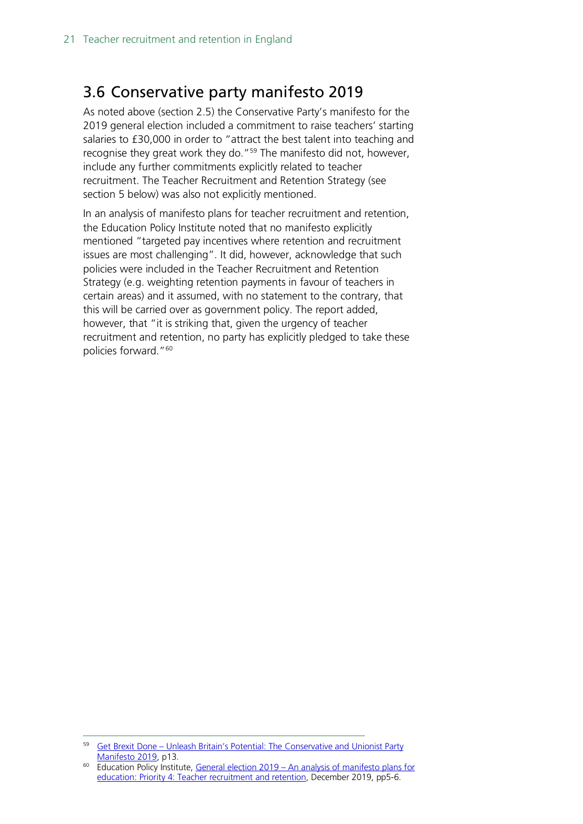### <span id="page-20-0"></span>3.6 Conservative party manifesto 2019

As noted above (section 2.5) the Conservative Party's manifesto for the 2019 general election included a commitment to raise teachers' starting salaries to £30,000 in order to "attract the best talent into teaching and recognise they great work they do."<sup>59</sup> The manifesto did not, however, include any further commitments explicitly related to teacher recruitment. The Teacher Recruitment and Retention Strategy (see section 5 below) was also not explicitly mentioned.

In an analysis of manifesto plans for teacher recruitment and retention, the Education Policy Institute noted that no manifesto explicitly mentioned "targeted pay incentives where retention and recruitment issues are most challenging". It did, however, acknowledge that such policies were included in the Teacher Recruitment and Retention Strategy (e.g. weighting retention payments in favour of teachers in certain areas) and it assumed, with no statement to the contrary, that this will be carried over as government policy. The report added, however, that "it is striking that, given the urgency of teacher recruitment and retention, no party has explicitly pledged to take these policies forward."[60](#page-20-2)

<span id="page-20-1"></span><sup>59</sup> Get Brexit Done – [Unleash Britain's Potential: The Conservative and Unionist Party](https://assets-global.website-files.com/5da42e2cae7ebd3f8bde353c/5dda924905da587992a064ba_Conservative%202019%20Manifesto.pdf)  [Manifesto 2019,](https://assets-global.website-files.com/5da42e2cae7ebd3f8bde353c/5dda924905da587992a064ba_Conservative%202019%20Manifesto.pdf) p13.

<span id="page-20-2"></span><sup>60</sup> Education Policy Institute, General election 2019 – [An analysis of manifesto plans for](https://epi.org.uk/wp-content/uploads/2019/12/Priority-4-teacher-recruitment-and-retention.pdf)  [education: Priority 4: Teacher recruitment and retention,](https://epi.org.uk/wp-content/uploads/2019/12/Priority-4-teacher-recruitment-and-retention.pdf) December 2019, pp5-6.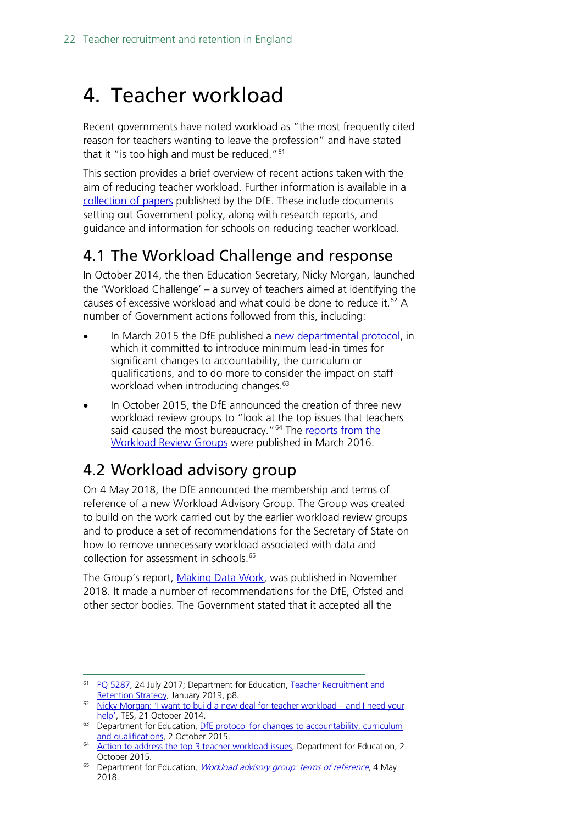## <span id="page-21-0"></span>4. Teacher workload

Recent governments have noted workload as "the most frequently cited reason for teachers wanting to leave the profession" and have stated that it "is too high and must be reduced."<sup>[61](#page-21-3)</sup>

This section provides a brief overview of recent actions taken with the aim of reducing teacher workload. Further information is available in a [collection of papers](https://www.gov.uk/government/collections/reducing-school-workload) published by the DfE. These include documents setting out Government policy, along with research reports, and guidance and information for schools on reducing teacher workload.

### <span id="page-21-1"></span>4.1 The Workload Challenge and response

In October 2014, the then Education Secretary, Nicky Morgan, launched the 'Workload Challenge' – a survey of teachers aimed at identifying the causes of excessive workload and what could be done to reduce it.<sup>[62](#page-21-4)</sup> A number of Government actions followed from this, including:

- In March 2015 the DfE published a [new departmental protocol,](https://www.gov.uk/government/publications/dfe-protocol-for-changes-to-accountability-curriculum-and-qualifications) in which it committed to introduce minimum lead-in times for significant changes to accountability, the curriculum or qualifications, and to do more to consider the impact on staff workload when introducing changes.<sup>63</sup>
- In October 2015, the DfE announced the creation of three new workload review groups to "look at the top issues that teachers said caused the most bureaucracy."<sup>[64](#page-21-6)</sup> The reports from the [Workload Review Groups](https://www.gov.uk/government/collections/reducing-school-workload#reports-from-independent-groups) were published in March 2016.

### <span id="page-21-2"></span>4.2 Workload advisory group

On 4 May 2018, the DfE announced the membership and terms of reference of a new Workload Advisory Group. The Group was created to build on the work carried out by the earlier workload review groups and to produce a set of recommendations for the Secretary of State on how to remove unnecessary workload associated with data and collection for assessment in schools.<sup>[65](#page-21-7)</sup>

The Group's report, [Making Data Work](https://assets.publishing.service.gov.uk/government/uploads/system/uploads/attachment_data/file/754349/Workload_Advisory_Group-report.pdf), was published in November 2018. It made a number of recommendations for the DfE, Ofsted and other sector bodies. The Government stated that it accepted all the

<span id="page-21-3"></span><sup>&</sup>lt;sup>61</sup> [PQ 5287,](http://www.parliament.uk/written-questions-answers-statements/written-question/commons/2017-07-17/5287) 24 July 2017; Department for Education, Teacher Recruitment and [Retention Strategy,](https://assets.publishing.service.gov.uk/government/uploads/system/uploads/attachment_data/file/773930/Teacher_Retention_Strategy_Report.PDF.pdf) January 2019, p8.

<span id="page-21-4"></span><sup>62</sup> [Nicky Morgan: 'I want to build a new deal for teacher workload –](https://www.tes.co.uk/news/school-news/breaking-views/nicky-morgan-%E2%80%98i-want-build-a-new-deal-teacher-workload-%E2%80%93-and-i-need) and I need your [help',](https://www.tes.co.uk/news/school-news/breaking-views/nicky-morgan-%E2%80%98i-want-build-a-new-deal-teacher-workload-%E2%80%93-and-i-need) TES, 21 October 2014.

<span id="page-21-5"></span><sup>&</sup>lt;sup>63</sup> Department for Education, DfE protocol for changes to accountability, curriculum [and qualifications,](https://www.gov.uk/government/publications/dfe-protocol-for-changes-to-accountability-curriculum-and-qualifications) 2 October 2015.

<span id="page-21-6"></span><sup>&</sup>lt;sup>64</sup> [Action to address the top 3 teacher workload issues,](https://www.gov.uk/government/news/action-to-address-the-top-3-teacher-workload-issues) Department for Education, 2 October 2015.

<span id="page-21-7"></span><sup>&</sup>lt;sup>65</sup> Department for Education, *[Workload advisory group: terms of reference](https://www.gov.uk/government/publications/workload-advisory-group-terms-of-reference?utm_source=6ea98f98-31a8-4eeb-8af7-162f50911369&utm_medium=email&utm_campaign=govuk-notifications&utm_content=immediate)*, 4 May 2018.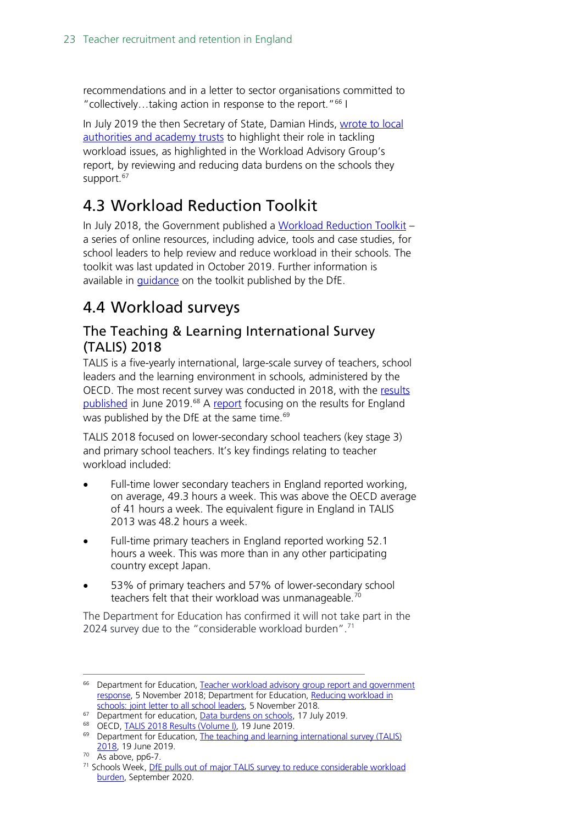recommendations and in a letter to sector organisations committed to "collectively…taking action in response to the report."[66](#page-22-3) I

In July 2019 the then Secretary of State, Damian Hinds, wrote to local [authorities and academy trusts](https://www.gov.uk/government/publications/data-burdens-on-schools) to highlight their role in tackling workload issues, as highlighted in the Workload Advisory Group's report, by reviewing and reducing data burdens on the schools they support.<sup>[67](#page-22-4)</sup>

### <span id="page-22-0"></span>4.3 Workload Reduction Toolkit

In July 2018, the Government published a [Workload Reduction Toolkit](https://www.gov.uk/government/collections/workload-reduction-toolkit?utm_source=83156181-a218-46a6-9c68-3f71940a799e&utm_medium=email&utm_campaign=govuk-notifications&utm_content=immediate) – a series of online resources, including advice, tools and case studies, for school leaders to help review and reduce workload in their schools. The toolkit was last updated in October 2019. Further information is available in [guidance](https://www.gov.uk/guidance/reducing-workload-in-your-school) on the toolkit published by the DfE.

### <span id="page-22-1"></span>4.4 Workload surveys

### <span id="page-22-2"></span>The Teaching & Learning International Survey (TALIS) 2018

TALIS is a five-yearly international, large-scale survey of teachers, school leaders and the learning environment in schools, administered by the OECD. The most recent survey was conducted in 2018, with the [results](http://www.oecd.org/education/talis-2018-results-volume-i-1d0bc92a-en.htm)  [published](http://www.oecd.org/education/talis-2018-results-volume-i-1d0bc92a-en.htm) in June 2019.<sup>[68](#page-22-5)</sup> A [report](https://assets.publishing.service.gov.uk/government/uploads/system/uploads/attachment_data/file/809738/TALIS_2018_research_brief.pdf) focusing on the results for England was published by the DfE at the same time.<sup>[69](#page-22-6)</sup>

TALIS 2018 focused on lower-secondary school teachers (key stage 3) and primary school teachers. It's key findings relating to teacher workload included:

- Full-time lower secondary teachers in England reported working, on average, 49.3 hours a week. This was above the OECD average of 41 hours a week. The equivalent figure in England in TALIS 2013 was 48.2 hours a week.
- Full-time primary teachers in England reported working 52.1 hours a week. This was more than in any other participating country except Japan.
- 53% of primary teachers and 57% of lower-secondary school teachers felt that their workload was unmanageable.<sup>[70](#page-22-7)</sup>

The Department for Education has confirmed it will not take part in the 2024 survey due to the "considerable workload burden".<sup>[71](#page-22-8)</sup>

<span id="page-22-3"></span><sup>&</sup>lt;sup>66</sup> Department for Education, Teacher workload advisory group report and government [response,](https://www.gov.uk/government/publications/teacher-workload-advisory-group-report-and-government-response) 5 November 2018; Department for Education, [Reducing workload in](https://www.gov.uk/government/publications/reducing-workload-in-schools-joint-letter-to-all-school-leaders)  [schools: joint letter to all school leaders,](https://www.gov.uk/government/publications/reducing-workload-in-schools-joint-letter-to-all-school-leaders) 5 November 2018.

<span id="page-22-4"></span><sup>&</sup>lt;sup>67</sup> Department for education, [Data burdens on schools,](https://www.gov.uk/government/publications/data-burdens-on-schools) 17 July 2019.

<span id="page-22-5"></span><sup>&</sup>lt;sup>68</sup> OECD, [TALIS 2018 Results \(Volume I\),](http://www.oecd.org/education/talis-2018-results-volume-i-1d0bc92a-en.htm) 19 June 2019.

<span id="page-22-6"></span><sup>&</sup>lt;sup>69</sup> Department for Education, The teaching and learning international survey (TALIS) [2018,](https://www.gov.uk/government/publications/teachers-in-primary-and-secondary-schools-talis-2018) 19 June 2019.

<span id="page-22-7"></span> $70$  As above, pp6-7.

<span id="page-22-8"></span><sup>&</sup>lt;sup>71</sup> Schools Week, DfE pulls out of major TALIS survey to reduce considerable workload [burden,](https://schoolsweek.co.uk/dfe-pulls-out-of-major-talis-survey-to-reduce-considerable-workload-burden/) September 2020.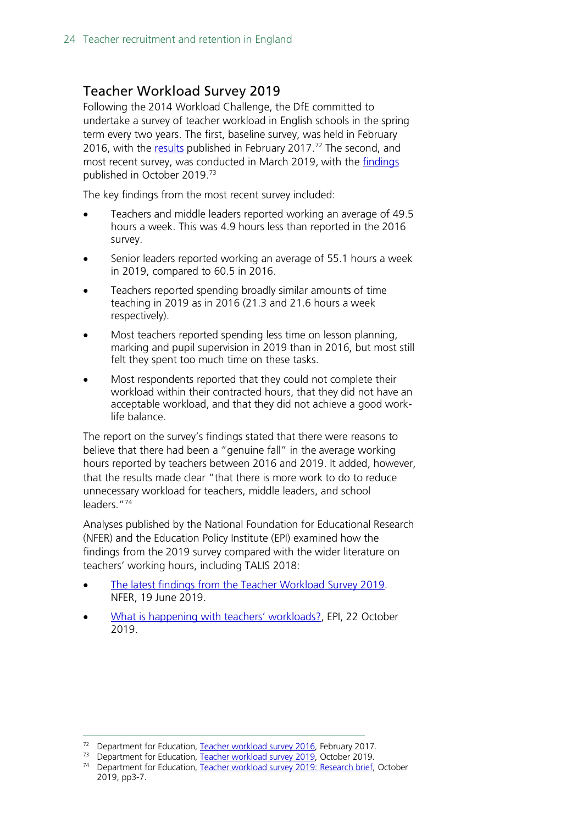### <span id="page-23-0"></span>Teacher Workload Survey 2019

Following the 2014 Workload Challenge, the DfE committed to undertake a survey of teacher workload in English schools in the spring term every two years. The first, baseline survey, was held in February 2016, with the [results](https://hopuk-my.sharepoint.com/personal/fosterda_parliament_uk/Documents/Briefing%20Papers/Teacher%20workload%20survey%202016) published in February 2017.<sup>[72](#page-23-1)</sup> The second, and most recent survey, was conducted in March 2019, with the [findings](https://assets.publishing.service.gov.uk/government/uploads/system/uploads/attachment_data/file/838433/Teacher_workload_survey_2019_brief.pdf) published in October 2019.[73](#page-23-2)

The key findings from the most recent survey included:

- Teachers and middle leaders reported working an average of 49.5 hours a week. This was 4.9 hours less than reported in the 2016 survey.
- Senior leaders reported working an average of 55.1 hours a week in 2019, compared to 60.5 in 2016.
- Teachers reported spending broadly similar amounts of time teaching in 2019 as in 2016 (21.3 and 21.6 hours a week respectively).
- Most teachers reported spending less time on lesson planning, marking and pupil supervision in 2019 than in 2016, but most still felt they spent too much time on these tasks.
- Most respondents reported that they could not complete their workload within their contracted hours, that they did not have an acceptable workload, and that they did not achieve a good worklife balance.

The report on the survey's findings stated that there were reasons to believe that there had been a "genuine fall" in the average working hours reported by teachers between 2016 and 2019. It added, however, that the results made clear "that there is more work to do to reduce unnecessary workload for teachers, middle leaders, and school leaders."[74](#page-23-3)

Analyses published by the National Foundation for Educational Research (NFER) and the Education Policy Institute (EPI) examined how the findings from the 2019 survey compared with the wider literature on teachers' working hours, including TALIS 2018:

- [The latest findings from the Teacher Workload Survey 2019.](https://www.nfer.ac.uk/news-events/nfer-blogs/the-latest-findings-from-the-teacher-workload-survey-2019/) NFER, 19 June 2019.
- [What is happening with teachers' workloads?,](https://epi.org.uk/publications-and-research/what-is-happening-with-teachers-workloads/) EPI, 22 October 2019.

<sup>&</sup>lt;sup>72</sup> Department for Education, [Teacher workload survey 2016,](https://www.gov.uk/government/publications/teacher-workload-survey-2016) February 2017.

<span id="page-23-2"></span><span id="page-23-1"></span><sup>&</sup>lt;sup>73</sup> Department for Education, [Teacher workload survey 2019,](https://www.gov.uk/government/publications/teacher-workload-survey-2019) October 2019.

<span id="page-23-3"></span><sup>&</sup>lt;sup>74</sup> Department for Education, [Teacher workload survey 2019:](https://assets.publishing.service.gov.uk/government/uploads/system/uploads/attachment_data/file/838433/Teacher_workload_survey_2019_brief.pdf) Research brief, October 2019, pp3-7.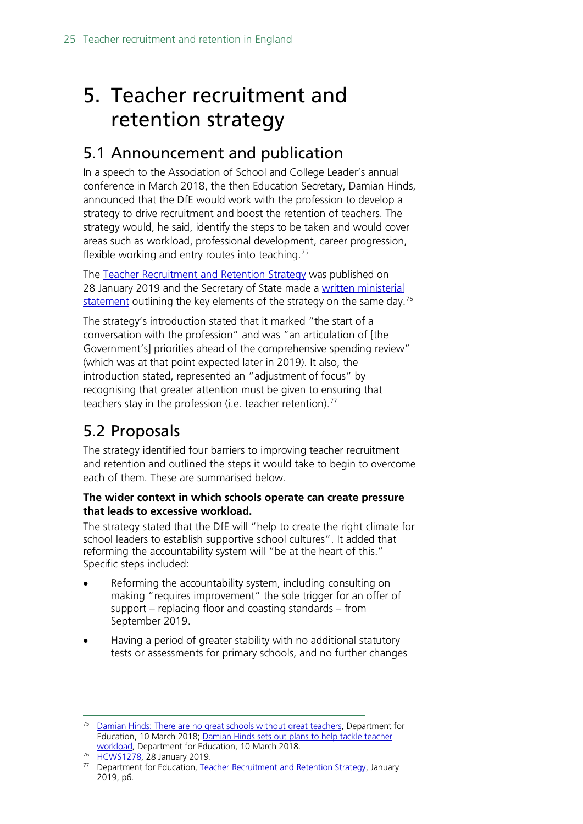## <span id="page-24-0"></span>5. Teacher recruitment and retention strategy

### <span id="page-24-1"></span>5.1 Announcement and publication

In a speech to the Association of School and College Leader's annual conference in March 2018, the then Education Secretary, Damian Hinds, announced that the DfE would work with the profession to develop a strategy to drive recruitment and boost the retention of teachers. The strategy would, he said, identify the steps to be taken and would cover areas such as workload, professional development, career progression, flexible working and entry routes into teaching.<sup>[75](#page-24-3)</sup>

The [Teacher Recruitment and Retention Strategy](https://www.gov.uk/government/publications/teacher-recruitment-and-retention-strategy) was published on 28 January 2019 and the Secretary of State made a [written ministerial](https://www.parliament.uk/business/publications/written-questions-answers-statements/written-statement/Commons/2019-01-28/HCWS1278)  [statement](https://www.parliament.uk/business/publications/written-questions-answers-statements/written-statement/Commons/2019-01-28/HCWS1278) outlining the key elements of the strategy on the same day.<sup>[76](#page-24-4)</sup>

The strategy's introduction stated that it marked "the start of a conversation with the profession" and was "an articulation of [the Government's] priorities ahead of the comprehensive spending review" (which was at that point expected later in 2019). It also, the introduction stated, represented an "adjustment of focus" by recognising that greater attention must be given to ensuring that teachers stay in the profession (i.e. teacher retention).<sup>[77](#page-24-5)</sup>

### <span id="page-24-2"></span>5.2 Proposals

The strategy identified four barriers to improving teacher recruitment and retention and outlined the steps it would take to begin to overcome each of them. These are summarised below.

#### **The wider context in which schools operate can create pressure that leads to excessive workload.**

The strategy stated that the DfE will "help to create the right climate for school leaders to establish supportive school cultures". It added that reforming the accountability system will "be at the heart of this." Specific steps included:

- Reforming the accountability system, including consulting on making "requires improvement" the sole trigger for an offer of support – replacing floor and coasting standards – from September 2019.
- Having a period of greater stability with no additional statutory tests or assessments for primary schools, and no further changes

<span id="page-24-3"></span><sup>&</sup>lt;sup>75</sup> [Damian Hinds: There are no great schools without great teachers,](https://www.gov.uk/government/speeches/damian-hinds-there-are-no-great-schools-without-great-teachers) Department for Education, 10 March 2018; [Damian Hinds sets out plans to help tackle teacher](https://www.gov.uk/government/news/damian-hinds-sets-out-plans-to-help-tackle-teacher-workload)  [workload,](https://www.gov.uk/government/news/damian-hinds-sets-out-plans-to-help-tackle-teacher-workload) Department for Education, 10 March 2018.

<span id="page-24-4"></span><sup>76</sup> [HCWS1278,](https://www.parliament.uk/business/publications/written-questions-answers-statements/written-statement/Commons/2019-01-28/HCWS1278) 28 January 2019.

<span id="page-24-5"></span><sup>&</sup>lt;sup>77</sup> Department for Education, [Teacher Recruitment and Retention Strategy,](https://assets.publishing.service.gov.uk/government/uploads/system/uploads/attachment_data/file/773930/Teacher_Retention_Strategy_Report.PDF.pdf) January 2019, p6.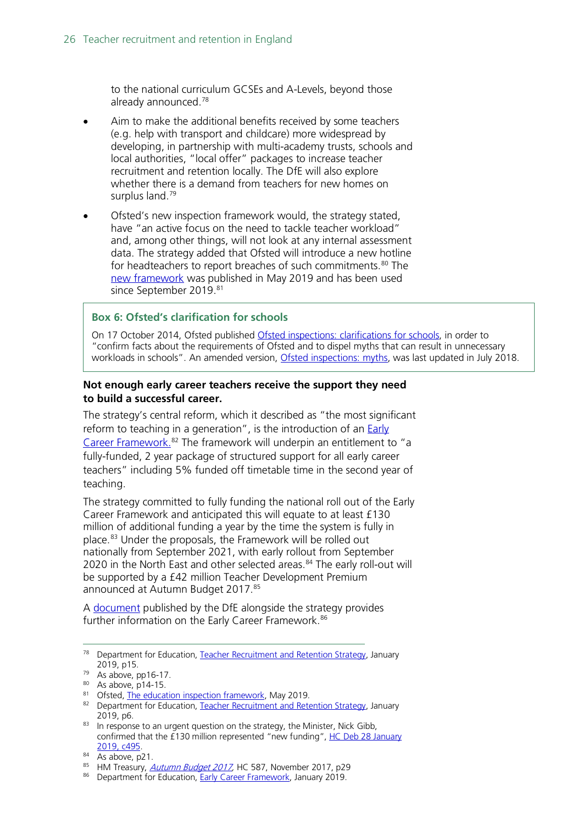to the national curriculum GCSEs and A-Levels, beyond those already announced.[78](#page-25-0)

- Aim to make the additional benefits received by some teachers (e.g. help with transport and childcare) more widespread by developing, in partnership with multi-academy trusts, schools and local authorities, "local offer" packages to increase teacher recruitment and retention locally. The DfE will also explore whether there is a demand from teachers for new homes on surplus land.<sup>[79](#page-25-1)</sup>
- Ofsted's new inspection framework would, the strategy stated, have "an active focus on the need to tackle teacher workload" and, among other things, will not look at any internal assessment data. The strategy added that Ofsted will introduce a new hotline for headteachers to report breaches of such commitments.<sup>[80](#page-25-2)</sup> The [new framework](https://assets.publishing.service.gov.uk/government/uploads/system/uploads/attachment_data/file/801429/Education_inspection_framework.pdf) was published in May 2019 and has been used since September 2019.<sup>[81](#page-25-3)</sup>

#### **Box 6: Ofsted's clarification for schools**

On 17 October 2014, Ofsted published [Ofsted inspections: clarifications for schools,](https://www.gov.uk/government/uploads/system/uploads/attachment_data/file/463242/Ofsted_inspections_clarification_for_schools.pdf) in order to "confirm facts about the requirements of Ofsted and to dispel myths that can result in unnecessary workloads in schools". An amended version, [Ofsted inspections: myths,](https://www.gov.uk/government/publications/school-inspection-handbook-from-september-2015/ofsted-inspections-mythbusting) was last updated in July 2018.

#### **Not enough early career teachers receive the support they need to build a successful career.**

The strategy's central reform, which it described as "the most significant reform to teaching in a generation", is the introduction of an Early [Career Framework.](https://www.gov.uk/government/publications/supporting-early-career-teachers)<sup>[82](#page-25-4)</sup> The framework will underpin an entitlement to "a fully-funded, 2 year package of structured support for all early career teachers" including 5% funded off timetable time in the second year of teaching.

The strategy committed to fully funding the national roll out of the Early Career Framework and anticipated this will equate to at least £130 million of additional funding a year by the time the system is fully in place.<sup>[83](#page-25-5)</sup> Under the proposals, the Framework will be rolled out nationally from September 2021, with early rollout from September 2020 in the North East and other selected areas.<sup>[84](#page-25-6)</sup> The early roll-out will be supported by a £42 million Teacher Development Premium announced at Autumn Budget 2017.<sup>[85](#page-25-7)</sup>

A [document](https://assets.publishing.service.gov.uk/government/uploads/system/uploads/attachment_data/file/773705/Early-Career_Framework.pdf) published by the DfE alongside the strategy provides further information on the Early Career Framework.<sup>86</sup>

<span id="page-25-0"></span><sup>&</sup>lt;sup>78</sup> Department for Education, [Teacher Recruitment and Retention Strategy,](https://assets.publishing.service.gov.uk/government/uploads/system/uploads/attachment_data/file/773930/Teacher_Retention_Strategy_Report.PDF.pdf) January 2019, p15.

<span id="page-25-1"></span><sup>79</sup> As above, pp16-17.

<span id="page-25-2"></span> $80$  As above, p14-15.

<span id="page-25-3"></span><sup>81</sup> Ofsted, [The education inspection framework,](https://www.gov.uk/government/publications/education-inspection-framework) May 2019.

<span id="page-25-4"></span><sup>82</sup> Department for Education, [Teacher Recruitment and Retention Strategy,](https://assets.publishing.service.gov.uk/government/uploads/system/uploads/attachment_data/file/773930/Teacher_Retention_Strategy_Report.PDF.pdf) January 2019, p6.

<span id="page-25-5"></span><sup>83</sup> In response to an urgent question on the strategy, the Minister, Nick Gibb, confirmed that the £130 million represented "new funding", [HC Deb 28 January](https://hansard.parliament.uk/Commons/2019-01-28/debates/BE7F2C23-E760-4E2F-BCE5-45828C6DA3DE/TeacherRecruitmentAndRetentionStrategy#contribution-FCE79C55-862F-4FF6-894B-D4EADFB462F6)  [2019, c495.](https://hansard.parliament.uk/Commons/2019-01-28/debates/BE7F2C23-E760-4E2F-BCE5-45828C6DA3DE/TeacherRecruitmentAndRetentionStrategy#contribution-FCE79C55-862F-4FF6-894B-D4EADFB462F6)

<span id="page-25-6"></span> $84$  As above, p21.

<span id="page-25-7"></span><sup>85</sup> HM Treasury, *Autumn Budget 2017*, HC 587, November 2017, p29

<span id="page-25-8"></span><sup>86</sup> Department for Education, [Early Career Framework,](https://assets.publishing.service.gov.uk/government/uploads/system/uploads/attachment_data/file/773705/Early-Career_Framework.pdf) January 2019.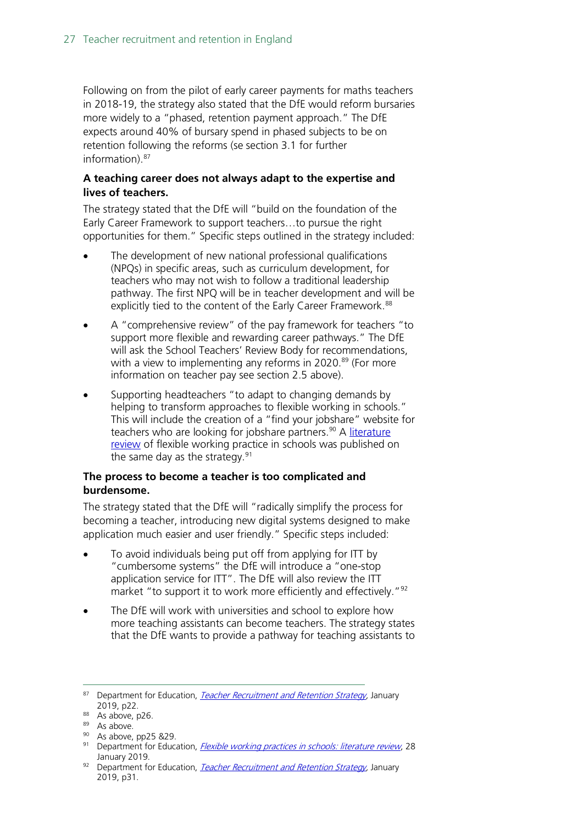Following on from the pilot of early career payments for maths teachers in 2018-19, the strategy also stated that the DfE would reform bursaries more widely to a "phased, retention payment approach." The DfE expects around 40% of bursary spend in phased subjects to be on retention following the reforms (se section 3.1 for further information).[87](#page-26-0)

#### **A teaching career does not always adapt to the expertise and lives of teachers.**

The strategy stated that the DfE will "build on the foundation of the Early Career Framework to support teachers…to pursue the right opportunities for them." Specific steps outlined in the strategy included:

- The development of new national professional qualifications (NPQs) in specific areas, such as curriculum development, for teachers who may not wish to follow a traditional leadership pathway. The first NPQ will be in teacher development and will be explicitly tied to the content of the Early Career Framework.<sup>[88](#page-26-1)</sup>
- A "comprehensive review" of the pay framework for teachers "to support more flexible and rewarding career pathways." The DfE will ask the School Teachers' Review Body for recommendations, with a view to implementing any reforms in 2020.<sup>[89](#page-26-2)</sup> (For more information on teacher pay see section 2.5 above).
- Supporting headteachers "to adapt to changing demands by helping to transform approaches to flexible working in schools." This will include the creation of a "find your jobshare" website for teachers who are looking for jobshare partners.<sup>[90](#page-26-3)</sup> A literature [review](https://www.gov.uk/government/publications/flexible-working-practices-in-schools-literature-review) of flexible working practice in schools was published on the same day as the strategy. $91$

#### **The process to become a teacher is too complicated and burdensome.**

The strategy stated that the DfE will "radically simplify the process for becoming a teacher, introducing new digital systems designed to make application much easier and user friendly." Specific steps included:

- To avoid individuals being put off from applying for ITT by "cumbersome systems" the DfE will introduce a "one-stop application service for ITT". The DfE will also review the ITT market "to support it to work more efficiently and effectively."<sup>[92](#page-26-5)</sup>
- The DfE will work with universities and school to explore how more teaching assistants can become teachers. The strategy states that the DfE wants to provide a pathway for teaching assistants to

<span id="page-26-1"></span><span id="page-26-0"></span><sup>87</sup> Department for Education, *Teacher Recruitment and Retention Strategy*, January 2019, p22.<br><sup>88</sup> As above, p26.

<span id="page-26-3"></span><span id="page-26-2"></span> $\frac{89}{90}$  As above.<br><sup>90</sup> As above, pp25 &29.

<span id="page-26-4"></span><sup>91</sup> Department for Education, *[Flexible working practices in schools: literature review](https://www.gov.uk/government/publications/flexible-working-practices-in-schools-literature-review)*, 28 January 2019.

<span id="page-26-6"></span><span id="page-26-5"></span><sup>92</sup> Department for Education, *Teacher Recruitment and Retention Strategy*, January 2019, p31.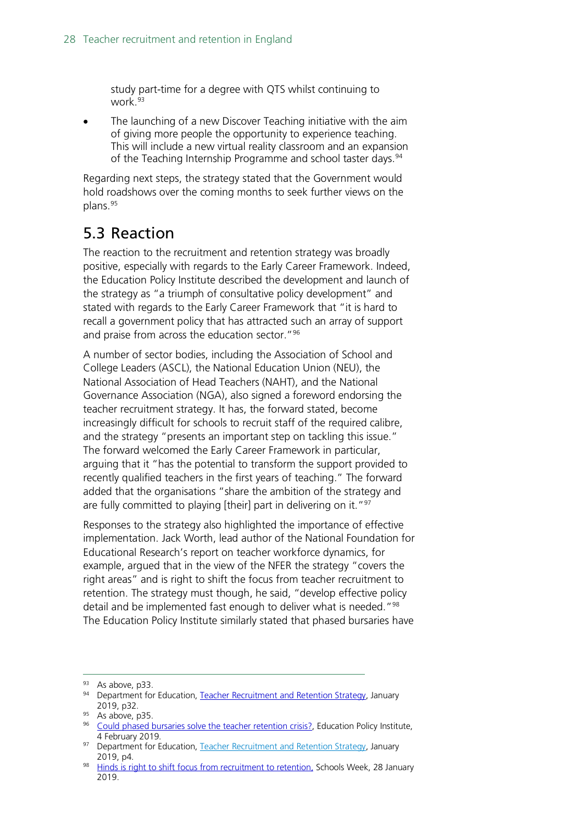study part-time for a degree with QTS whilst continuing to work.<sup>[93](#page-26-6)</sup>

The launching of a new Discover Teaching initiative with the aim of giving more people the opportunity to experience teaching. This will include a new virtual reality classroom and an expansion of the Teaching Internship Programme and school taster days.<sup>[94](#page-27-1)</sup>

Regarding next steps, the strategy stated that the Government would hold roadshows over the coming months to seek further views on the plans.[95](#page-27-2)

### <span id="page-27-0"></span>5.3 Reaction

The reaction to the recruitment and retention strategy was broadly positive, especially with regards to the Early Career Framework. Indeed, the Education Policy Institute described the development and launch of the strategy as "a triumph of consultative policy development" and stated with regards to the Early Career Framework that "it is hard to recall a government policy that has attracted such an array of support and praise from across the education sector."[96](#page-27-3)

A number of sector bodies, including the Association of School and College Leaders (ASCL), the National Education Union (NEU), the National Association of Head Teachers (NAHT), and the National Governance Association (NGA), also signed a foreword endorsing the teacher recruitment strategy. It has, the forward stated, become increasingly difficult for schools to recruit staff of the required calibre, and the strategy "presents an important step on tackling this issue." The forward welcomed the Early Career Framework in particular, arguing that it "has the potential to transform the support provided to recently qualified teachers in the first years of teaching." The forward added that the organisations "share the ambition of the strategy and are fully committed to playing [their] part in delivering on it."[97](#page-27-4)

Responses to the strategy also highlighted the importance of effective implementation. Jack Worth, lead author of the National Foundation for Educational Research's report on teacher workforce dynamics, for example, argued that in the view of the NFER the strategy "covers the right areas" and is right to shift the focus from teacher recruitment to retention. The strategy must though, he said, "develop effective policy detail and be implemented fast enough to deliver what is needed."<sup>[98](#page-27-5)</sup> The Education Policy Institute similarly stated that phased bursaries have

<span id="page-27-1"></span><sup>93</sup> As above, p33.<br>94 Department for Education, [Teacher Recruitment and Retention Strategy,](https://assets.publishing.service.gov.uk/government/uploads/system/uploads/attachment_data/file/773930/Teacher_Retention_Strategy_Report.PDF.pdf) January 2019, p32.<br><sup>95</sup> As above, p35.

<span id="page-27-3"></span><span id="page-27-2"></span><sup>&</sup>lt;sup>96</sup> [Could phased bursaries solve the teacher retention crisis?,](https://epi.org.uk/publications-and-research/phased-bursaries-teacher-retention/) Education Policy Institute, 4 February 2019.

<span id="page-27-4"></span><sup>97</sup> Department for Education, [Teacher Recruitment and Retention Strategy,](https://assets.publishing.service.gov.uk/government/uploads/system/uploads/attachment_data/file/773930/Teacher_Retention_Strategy_Report.PDF.pdf) January 2019, p4.

<span id="page-27-5"></span><sup>98</sup> [Hinds is right to shift focus from recruitment to retention,](https://schoolsweek.co.uk/hinds-is-right-to-shift-focus-from-recruitment-to-retention/) Schools Week, 28 January 2019.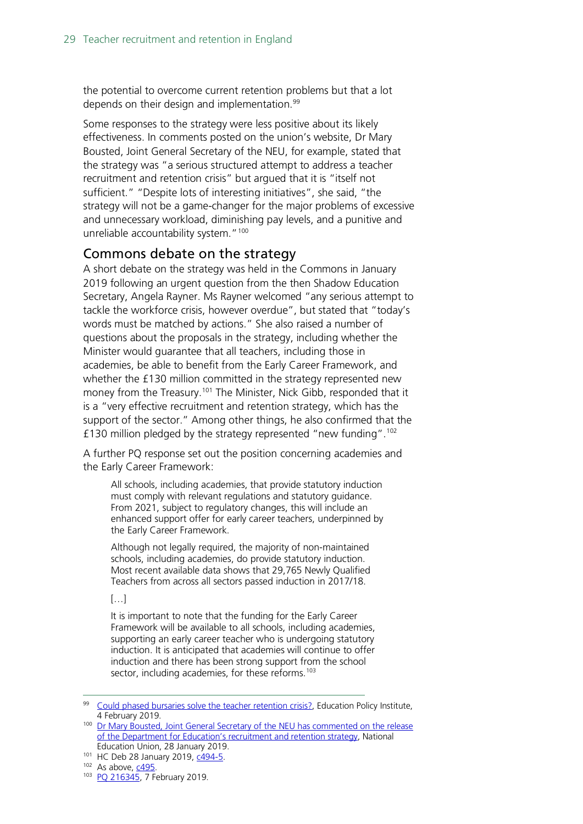the potential to overcome current retention problems but that a lot depends on their design and implementation.<sup>99</sup>

Some responses to the strategy were less positive about its likely effectiveness. In comments posted on the union's website, Dr Mary Bousted, Joint General Secretary of the NEU, for example, stated that the strategy was "a serious structured attempt to address a teacher recruitment and retention crisis" but argued that it is "itself not sufficient." "Despite lots of interesting initiatives", she said, "the strategy will not be a game-changer for the major problems of excessive and unnecessary workload, diminishing pay levels, and a punitive and unreliable accountability system."<sup>[100](#page-28-2)</sup>

### <span id="page-28-0"></span>Commons debate on the strategy

A short debate on the strategy was held in the Commons in January 2019 following an urgent question from the then Shadow Education Secretary, Angela Rayner. Ms Rayner welcomed "any serious attempt to tackle the workforce crisis, however overdue", but stated that "today's words must be matched by actions." She also raised a number of questions about the proposals in the strategy, including whether the Minister would guarantee that all teachers, including those in academies, be able to benefit from the Early Career Framework, and whether the £130 million committed in the strategy represented new money from the Treasury.<sup>101</sup> The Minister, Nick Gibb, responded that it is a "very effective recruitment and retention strategy, which has the support of the sector." Among other things, he also confirmed that the £130 million pledged by the strategy represented "new funding".<sup>[102](#page-28-4)</sup>

A further PQ response set out the position concerning academies and the Early Career Framework:

All schools, including academies, that provide statutory induction must comply with relevant regulations and statutory guidance. From 2021, subject to regulatory changes, this will include an enhanced support offer for early career teachers, underpinned by the Early Career Framework.

Although not legally required, the majority of non-maintained schools, including academies, do provide statutory induction. Most recent available data shows that 29,765 Newly Qualified Teachers from across all sectors passed induction in 2017/18.

 $\left[\ldots\right]$ 

It is important to note that the funding for the Early Career Framework will be available to all schools, including academies, supporting an early career teacher who is undergoing statutory induction. It is anticipated that academies will continue to offer induction and there has been strong support from the school sector, including academies, for these reforms.<sup>[103](#page-28-5)</sup>

<span id="page-28-1"></span><sup>&</sup>lt;sup>99</sup> [Could phased bursaries solve the teacher retention crisis?,](https://epi.org.uk/publications-and-research/phased-bursaries-teacher-retention/) Education Policy Institute, 4 February 2019.

<span id="page-28-2"></span><sup>&</sup>lt;sup>100</sup> Dr Mary Bousted, Joint General Secretary of the NEU has commented on the release [of the Department for Education's recruitment and retention strategy,](https://neu.org.uk/latest/teacher-recruitment-and-retention) National Education Union, 28 January 2019.

<span id="page-28-3"></span><sup>101</sup> HC Deb 28 January 2019, [c494-5.](https://hansard.parliament.uk/Commons/2019-01-28/debates/BE7F2C23-E760-4E2F-BCE5-45828C6DA3DE/TeacherRecruitmentAndRetentionStrategy#contribution-132E4D08-45A6-42B0-9770-A89493540E0A)

<span id="page-28-4"></span><sup>102</sup> As above, [c495.](https://hansard.parliament.uk/Commons/2019-01-28/debates/BE7F2C23-E760-4E2F-BCE5-45828C6DA3DE/TeacherRecruitmentAndRetentionStrategy#contribution-FCE79C55-862F-4FF6-894B-D4EADFB462F6)

<span id="page-28-5"></span><sup>103</sup> PO 216345, 7 February 2019.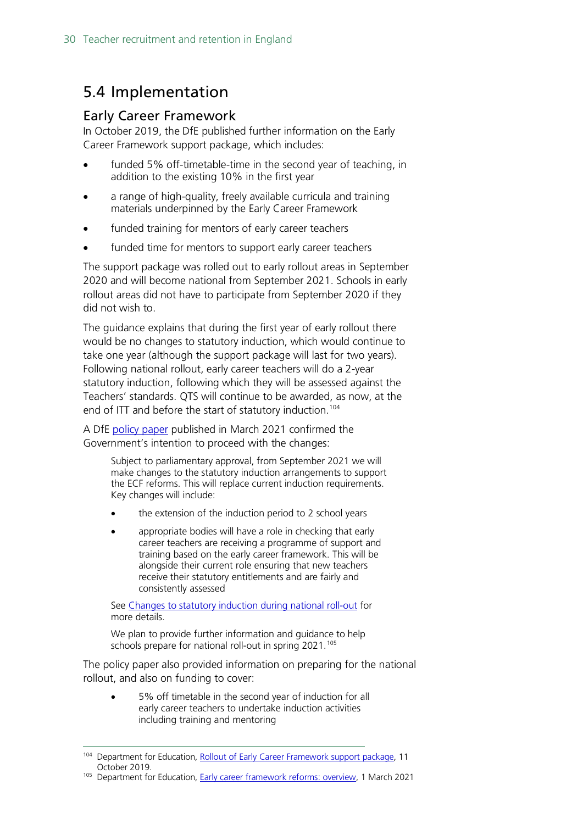### <span id="page-29-0"></span>5.4 Implementation

### <span id="page-29-1"></span>Early Career Framework

In October 2019, the DfE published further information on the Early Career Framework support package, which includes:

- funded 5% off-timetable-time in the second year of teaching, in addition to the existing 10% in the first year
- a range of high-quality, freely available curricula and training materials underpinned by the Early Career Framework
- funded training for mentors of early career teachers
- funded time for mentors to support early career teachers

The support package was rolled out to early rollout areas in September 2020 and will become national from September 2021. Schools in early rollout areas did not have to participate from September 2020 if they did not wish to.

The guidance explains that during the first year of early rollout there would be no changes to statutory induction, which would continue to take one year (although the support package will last for two years). Following national rollout, early career teachers will do a 2-year statutory induction, following which they will be assessed against the Teachers' standards. QTS will continue to be awarded, as now, at the end of ITT and before the start of statutory induction.<sup>104</sup>

A DfE [policy paper](https://www.gov.uk/government/publications/early-career-framework-reforms-overview/early-career-framework-reforms-overview) published in March 2021 confirmed the Government's intention to proceed with the changes:

> Subject to parliamentary approval, from September 2021 we will make changes to the statutory induction arrangements to support the ECF reforms. This will replace current induction requirements. Key changes will include:

- the extension of the induction period to 2 school years
- appropriate bodies will have a role in checking that early career teachers are receiving a programme of support and training based on the early career framework. This will be alongside their current role ensuring that new teachers receive their statutory entitlements and are fairly and consistently assessed

See [Changes to statutory induction during national roll-out](https://www.gov.uk/government/publications/changes-to-statutory-induction-during-national-roll-out) for more details.

We plan to provide further information and guidance to help schools prepare for national roll-out in spring 2021.<sup>[105](#page-29-3)</sup>

The policy paper also provided information on preparing for the national rollout, and also on funding to cover:

• 5% off timetable in the second year of induction for all early career teachers to undertake induction activities including training and mentoring

<span id="page-29-2"></span><sup>104</sup> Department for Education, [Rollout of Early Career Framework support package,](https://www.gov.uk/government/publications/supporting-early-career-teachers/rollout-of-early-career-framework-support-package) 11 October 2019.

<span id="page-29-3"></span><sup>105</sup> Department for Education, [Early career framework reforms: overview,](https://www.gov.uk/government/publications/early-career-framework-reforms-overview/early-career-framework-reforms-overview) 1 March 2021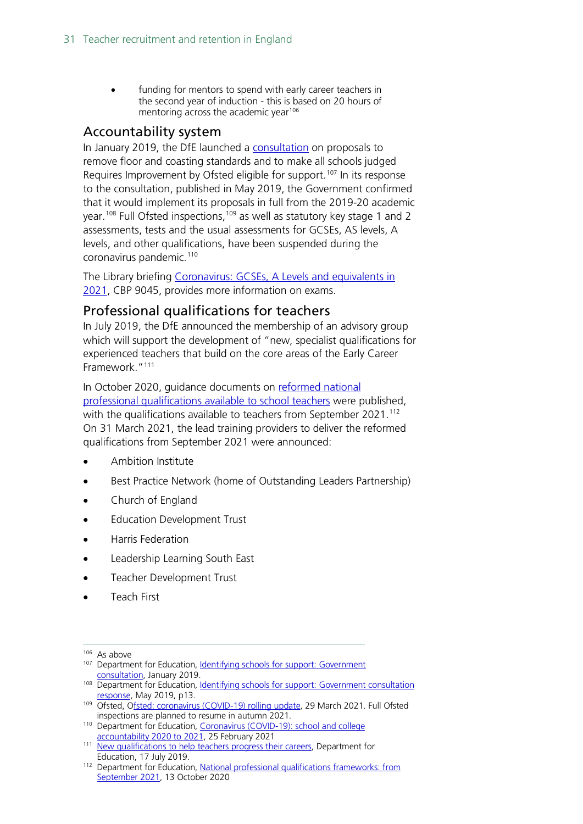funding for mentors to spend with early career teachers in the second year of induction - this is based on 20 hours of mentoring across the academic year<sup>106</sup>

### <span id="page-30-0"></span>Accountability system

In January 2019, the DfE launched a [consultation](https://www.gov.uk/government/consultations/identifying-schools-for-support) on proposals to remove floor and coasting standards and to make all schools judged Requires Improvement by Ofsted eligible for support.<sup>[107](#page-30-3)</sup> In its response to the consultation, published in May 2019, the Government confirmed that it would implement its proposals in full from the 2019-20 academic year.<sup>[108](#page-30-4)</sup> Full Ofsted inspections,<sup>[109](#page-30-5)</sup> as well as statutory key stage 1 and 2 assessments, tests and the usual assessments for GCSEs, AS levels, A levels, and other qualifications, have been suspended during the coronavirus pandemic.<sup>[110](#page-30-6)</sup>

The Library briefing [Coronavirus: GCSEs, A Levels and equivalents in](https://commonslibrary.parliament.uk/research-briefings/cbp-9045/)  [2021,](https://commonslibrary.parliament.uk/research-briefings/cbp-9045/) CBP 9045, provides more information on exams.

### <span id="page-30-1"></span>Professional qualifications for teachers

In July 2019, the DfE announced the membership of an advisory group which will support the development of "new, specialist qualifications for experienced teachers that build on the core areas of the Early Career Framework."[111](#page-30-7)

In October 2020, guidance documents on [reformed](https://www.gov.uk/government/publications/national-professional-qualifications-frameworks-from-september-2021) national [professional qualifications available to school teachers](https://www.gov.uk/government/publications/national-professional-qualifications-frameworks-from-september-2021) were published, with the qualifications available to teachers from September 2021.<sup>[112](#page-30-8)</sup> On 31 March 2021, the lead training providers to deliver the reformed qualifications from September 2021 were announced:

- Ambition Institute
- Best Practice Network (home of Outstanding Leaders Partnership)
- Church of England
- Education Development Trust
- Harris Federation
- Leadership Learning South East
- Teacher Development Trust
- Teach First

- <span id="page-30-3"></span><sup>107</sup> Department for Education, Identifying schools for support: Government [consultation,](https://consult.education.gov.uk/inspection-and-accountability-division/identifying-schools-for-improvement-support/supporting_documents/Identifying_Schools_for_Support_Jan_2018_v2.pdf) January 2019.
- <span id="page-30-4"></span>108 Department for Education, Identifying schools for support: Government consultation [response,](https://assets.publishing.service.gov.uk/government/uploads/system/uploads/attachment_data/file/799482/Identifying_Schools_for_Support_government_response.pdf) May 2019, p13.

<span id="page-30-2"></span><sup>106</sup> As above

<span id="page-30-5"></span><sup>109</sup> Ofsted, [Ofsted: coronavirus \(COVID-19\) rolling update,](https://www.gov.uk/guidance/ofsted-coronavirus-covid-19-rolling-update) 29 March 2021. Full Ofsted inspections are planned to resume in autumn 2021.

<span id="page-30-6"></span><sup>110</sup> Department for Education, Coronavirus (COVID-19): school and college [accountability 2020 to 2021,](https://www.gov.uk/government/publications/coronavirus-covid-19-school-and-college-performance-measures/coronavirus-covid-19-school-and-college-accountability-2020-to-2021) 25 February 2021

<span id="page-30-7"></span><sup>111</sup> [New qualifications to help teachers progress their careers,](https://www.gov.uk/government/news/new-qualifications-to-help-teachers-progress-their-careers) Department for Education, 17 July 2019.

<span id="page-30-8"></span><sup>112</sup> Department for Education, [National professional qualifications frameworks: from](https://www.gov.uk/government/publications/national-professional-qualifications-frameworks-from-september-2021)  [September 2021,](https://www.gov.uk/government/publications/national-professional-qualifications-frameworks-from-september-2021) 13 October 2020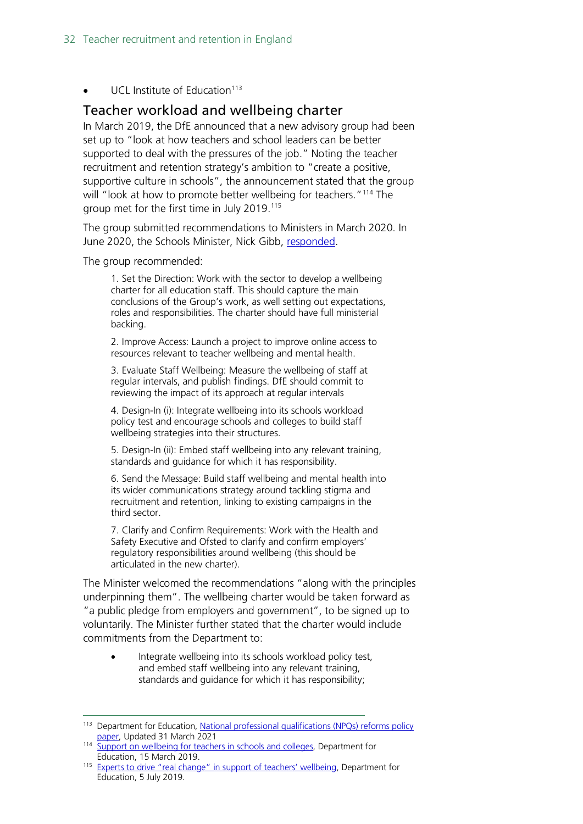$UCI$  Institute of Education<sup>[113](#page-31-1)</sup>

### <span id="page-31-0"></span>Teacher workload and wellbeing charter

In March 2019, the DfE announced that a new advisory group had been set up to "look at how teachers and school leaders can be better supported to deal with the pressures of the job." Noting the teacher recruitment and retention strategy's ambition to "create a positive, supportive culture in schools", the announcement stated that the group will "look at how to promote better wellbeing for teachers."<sup>[114](#page-31-2)</sup> The group met for the first time in July 2019.[115](#page-31-3)

The group submitted recommendations to Ministers in March 2020. In June 2020, the Schools Minister, Nick Gibb, [responded.](https://assets.publishing.service.gov.uk/government/uploads/system/uploads/attachment_data/file/890547/Nick_Gibb_letter_to_EAG.pdf)

The group recommended:

1. Set the Direction: Work with the sector to develop a wellbeing charter for all education staff. This should capture the main conclusions of the Group's work, as well setting out expectations, roles and responsibilities. The charter should have full ministerial backing.

2. Improve Access: Launch a project to improve online access to resources relevant to teacher wellbeing and mental health.

3. Evaluate Staff Wellbeing: Measure the wellbeing of staff at regular intervals, and publish findings. DfE should commit to reviewing the impact of its approach at regular intervals

4. Design-In (i): Integrate wellbeing into its schools workload policy test and encourage schools and colleges to build staff wellbeing strategies into their structures.

5. Design-In (ii): Embed staff wellbeing into any relevant training, standards and guidance for which it has responsibility.

6. Send the Message: Build staff wellbeing and mental health into its wider communications strategy around tackling stigma and recruitment and retention, linking to existing campaigns in the third sector.

7. Clarify and Confirm Requirements: Work with the Health and Safety Executive and Ofsted to clarify and confirm employers' regulatory responsibilities around wellbeing (this should be articulated in the new charter).

The Minister welcomed the recommendations "along with the principles underpinning them". The wellbeing charter would be taken forward as "a public pledge from employers and government", to be signed up to voluntarily. The Minister further stated that the charter would include commitments from the Department to:

Integrate wellbeing into its schools workload policy test, and embed staff wellbeing into any relevant training, standards and guidance for which it has responsibility;

<span id="page-31-1"></span><sup>&</sup>lt;sup>113</sup> Department for Education, [National professional qualifications \(NPQs\) reforms](https://www.gov.uk/government/publications/national-professional-qualifications-npqs-reforms/national-professional-qualifications-npqs-reforms#npq-providers) policy [paper,](https://www.gov.uk/government/publications/national-professional-qualifications-npqs-reforms/national-professional-qualifications-npqs-reforms#npq-providers) Updated 31 March 2021

<span id="page-31-2"></span><sup>&</sup>lt;sup>114</sup> [Support on wellbeing for teachers in schools and colleges,](https://www.gov.uk/government/news/support-on-wellbeing-for-teachers-in-schools-and-colleges?utm_source=68403e8a-9bc2-4ce4-bd2c-a4531595049e&utm_medium=email&utm_campaign=govuk-notifications&utm_content=immediate) Department for Education, 15 March 2019.

<span id="page-31-3"></span><sup>&</sup>lt;sup>115</sup> [Experts to drive "real change" in support of teachers' wellbeing,](https://www.gov.uk/government/news/experts-to-drive-real-change-in-support-of-teachers-wellbeing) Department for Education, 5 July 2019.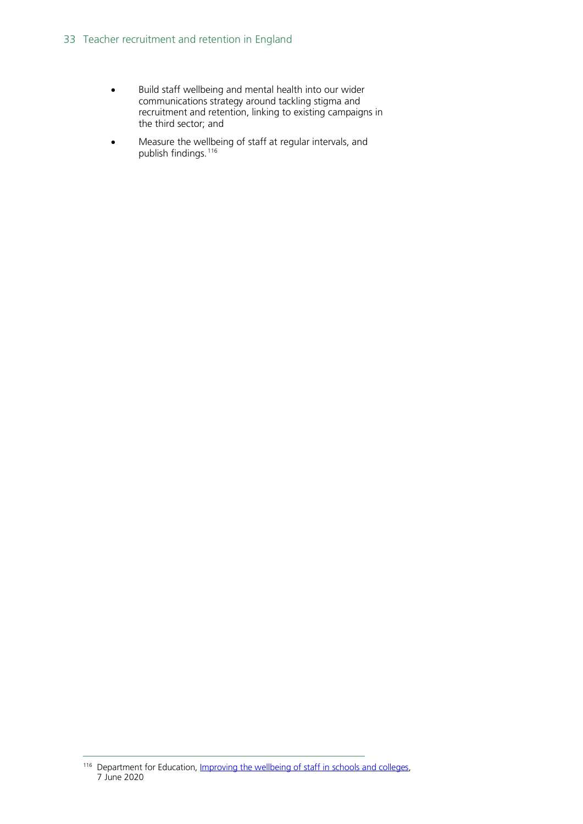- Build staff wellbeing and mental health into our wider communications strategy around tackling stigma and recruitment and retention, linking to existing campaigns in the third sector; and
- Measure the wellbeing of staff at regular intervals, and publish findings.[116](#page-32-0)

<span id="page-32-0"></span><sup>116</sup> Department for Education, Improving the wellbeing of staff in schools and colleges, 7 June 2020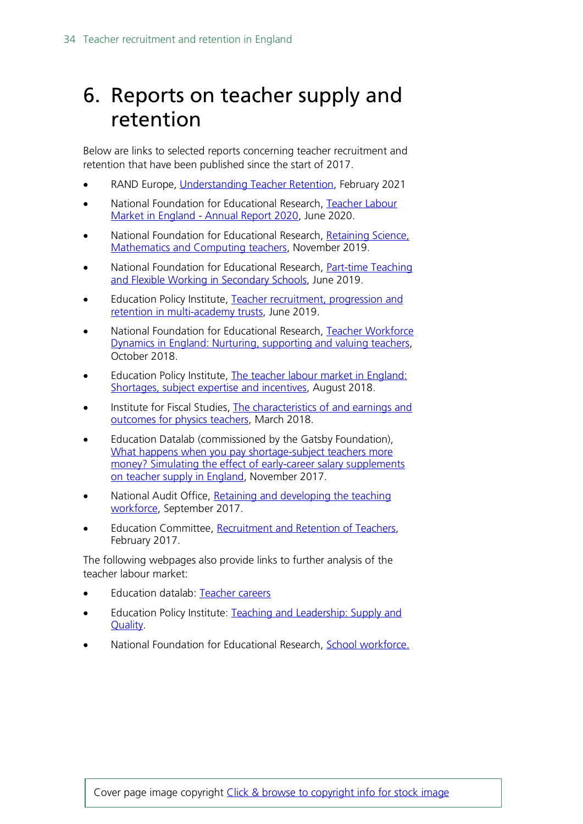## <span id="page-33-0"></span>6. Reports on teacher supply and retention

Below are links to selected reports concerning teacher recruitment and retention that have been published since the start of 2017.

- RAND Europe, [Understanding Teacher Retention,](https://www.rand.org/pubs/research_reports/RRA181-1.html) February 2021
- National Foundation for Educational Research, [Teacher Labour](https://www.nfer.ac.uk/teacher-labour-market-in-england-annual-report-2020/)  [Market in England -](https://www.nfer.ac.uk/teacher-labour-market-in-england-annual-report-2020/) Annual Report 2020, June 2020.
- National Foundation for Educational Research, [Retaining Science,](https://www.nfer.ac.uk/retaining-science-mathematics-and-computing-teachers/)  [Mathematics and Computing teachers,](https://www.nfer.ac.uk/retaining-science-mathematics-and-computing-teachers/) November 2019.
- National Foundation for Educational Research, [Part-time Teaching](https://www.nfer.ac.uk/part-time-teaching-and-flexible-working-in-secondary-schools/)  [and Flexible Working in Secondary Schools,](https://www.nfer.ac.uk/part-time-teaching-and-flexible-working-in-secondary-schools/) June 2019.
- Education Policy Institute, [Teacher recruitment, progression and](https://epi.org.uk/publications-and-research/teacher-recruitment-progression-and-retention-in-multi-academy-trusts/)  [retention in multi-academy trusts,](https://epi.org.uk/publications-and-research/teacher-recruitment-progression-and-retention-in-multi-academy-trusts/) June 2019.
- National Foundation for Educational Research, [Teacher Workforce](https://www.nfer.ac.uk/media/3111/teacher_workforce_dynamics_in_england_final_report.pdf)  [Dynamics in England: Nurturing, supporting](https://www.nfer.ac.uk/media/3111/teacher_workforce_dynamics_in_england_final_report.pdf) and valuing teachers, October 2018.
- Education Policy Institute, The teacher labour market in England: Shortages, subject [expertise and incentives,](https://epi.org.uk/wp-content/uploads/2018/08/EPI-Teacher-Labour-Market_2018.pdf) August 2018.
- Institute for Fiscal Studies, The characteristics of and earnings and outcomes [for physics teachers,](https://www.gatsby.org.uk/uploads/education/ifs-the-characteristics-of-and-earnings-and-outcomes-for-physics-teachers.pdf) March 2018.
- Education Datalab (commissioned by the Gatsby Foundation), What happens when you pay shortage-subject teachers more [money? Simulating the effect of early-career salary supplements](https://www.gatsby.org.uk/uploads/education/datalab-simulating-the-effect-of-early-career-salary-supplements-on-teacher-supply-in-england.pdf)  [on teacher supply in England,](https://www.gatsby.org.uk/uploads/education/datalab-simulating-the-effect-of-early-career-salary-supplements-on-teacher-supply-in-england.pdf) November 2017.
- National Audit Office, Retaining and developing the teaching [workforce,](https://www.nao.org.uk/press-release/retaining-and-developing-the-teaching-workforce/) September 2017.
- Education Committee, [Recruitment and Retention of Teachers,](https://www.publications.parliament.uk/pa/cm201617/cmselect/cmeduc/199/199.pdf) February 2017.

The following webpages also provide links to further analysis of the teacher labour market:

- Education datalab: [Teacher careers](https://ffteducationdatalab.org.uk/category/teachers/)
- Education Policy Institute: [Teaching and Leadership:](https://epi.org.uk/research-area/teaching-and-leadership-supply-and-quality/) Supply and [Quality.](https://epi.org.uk/research-area/teaching-and-leadership-supply-and-quality/)
- National Foundation for Educational Research, [School workforce.](https://www.nfer.ac.uk/key-topics-expertise/school-workforce/)